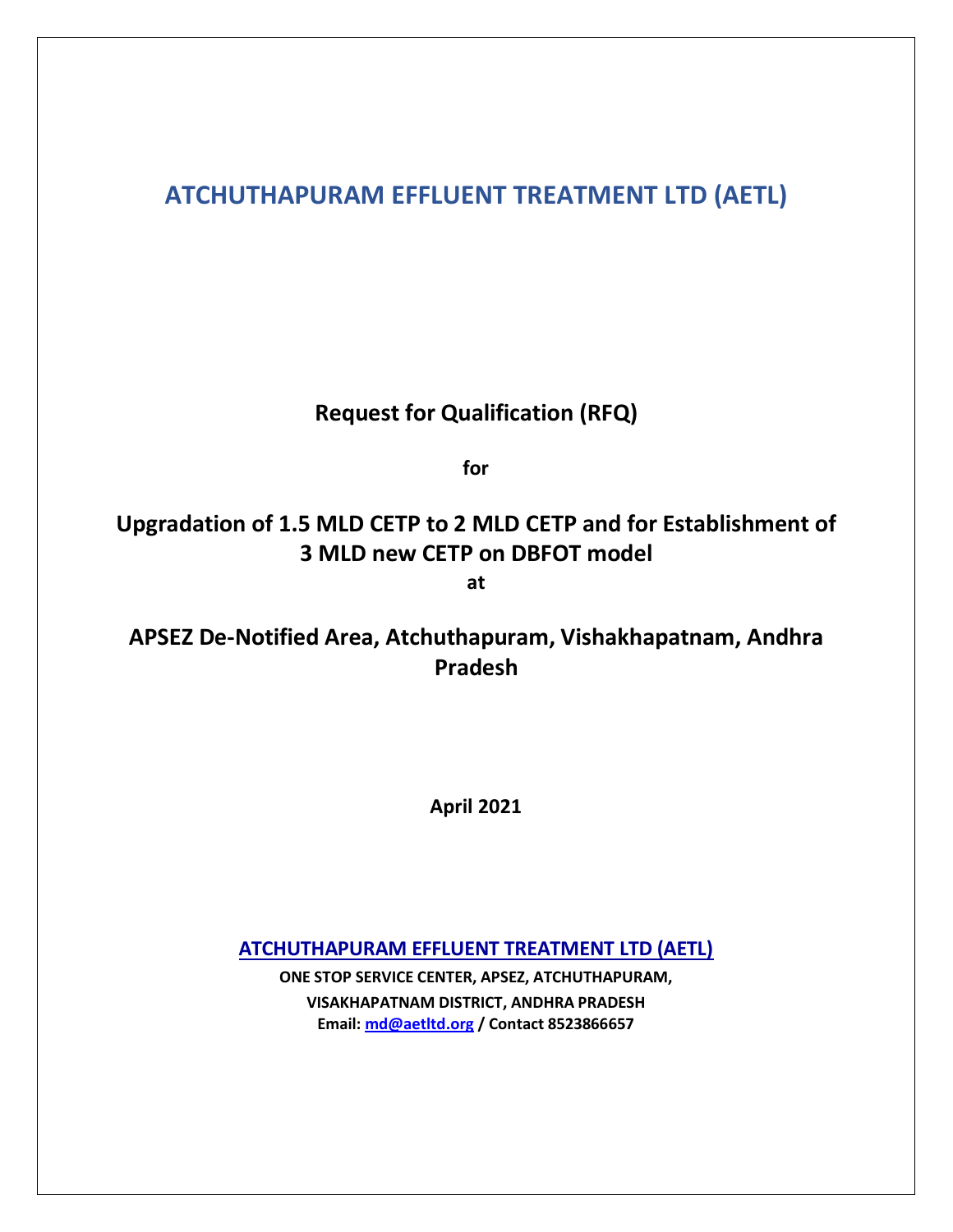# **ATCHUTHAPURAM EFFLUENT TREATMENT LTD (AETL)**

# **Request for Qualification (RFQ)**

**for**

# **Upgradation of 1.5 MLD CETP to 2 MLD CETP and for Establishment of 3 MLD new CETP on DBFOT model**

**at**

**APSEZ De-Notified Area, Atchuthapuram, Vishakhapatnam, Andhra Pradesh**

**April 2021**

**ATCHUTHAPURAM EFFLUENT TREATMENT LTD (AETL)**

**ONE STOP SERVICE CENTER, APSEZ, ATCHUTHAPURAM, VISAKHAPATNAM DISTRICT, ANDHRA PRADESH Email: [md@aetltd.org](mailto:md@aetltd.org) / Contact 8523866657**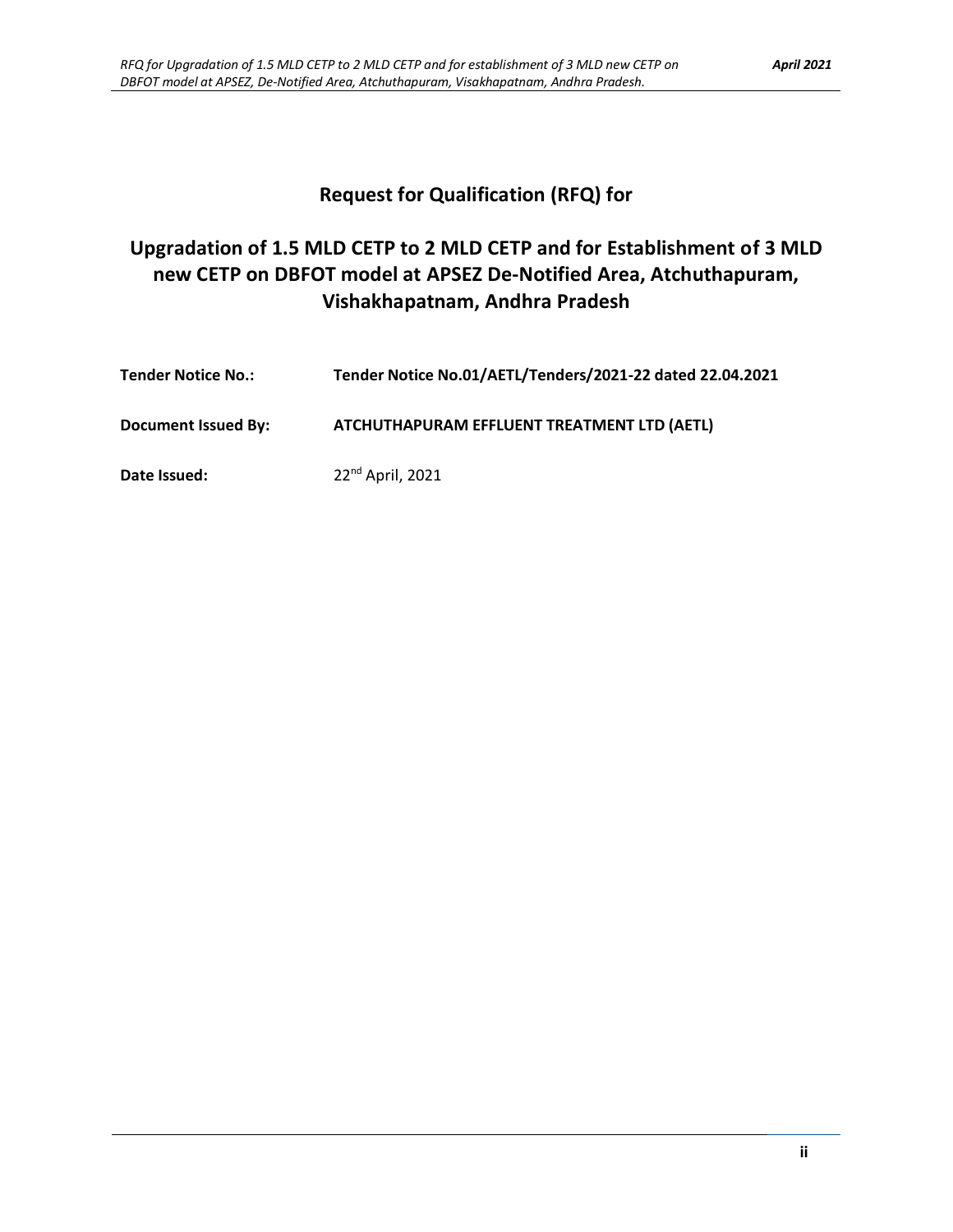## **Request for Qualification (RFQ) for**

# **Upgradation of 1.5 MLD CETP to 2 MLD CETP and for Establishment of 3 MLD new CETP on DBFOT model at APSEZ De-Notified Area, Atchuthapuram, Vishakhapatnam, Andhra Pradesh**

| <b>Tender Notice No.:</b> | Tender Notice No.01/AETL/Tenders/2021-22 dated 22.04.2021 |
|---------------------------|-----------------------------------------------------------|
| Document Issued By:       | ATCHUTHAPURAM EFFLUENT TREATMENT LTD (AETL)               |
| Date Issued:              | $22^{nd}$ April, 2021                                     |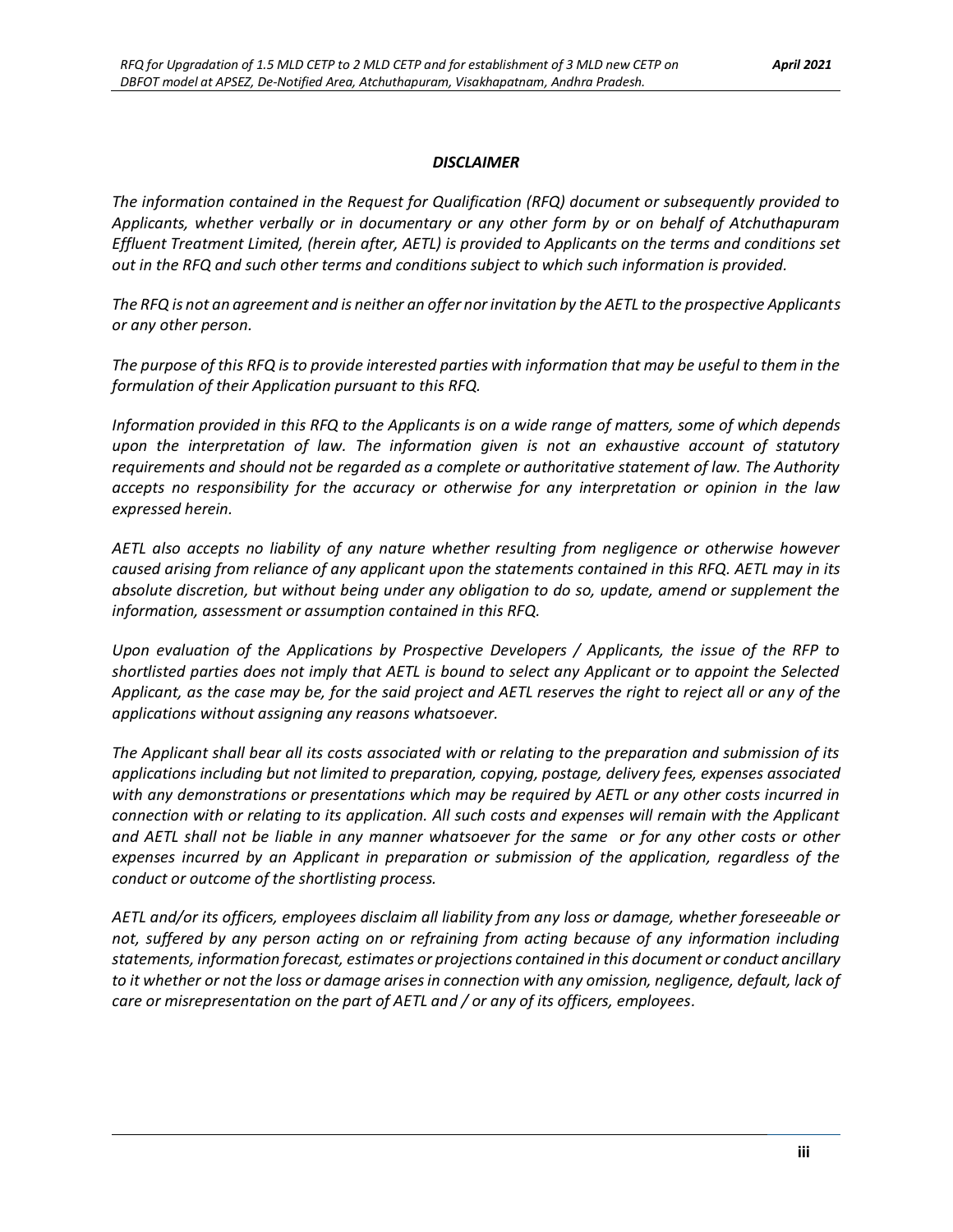#### *DISCLAIMER*

*The information contained in the Request for Qualification (RFQ) document or subsequently provided to Applicants, whether verbally or in documentary or any other form by or on behalf of Atchuthapuram Effluent Treatment Limited, (herein after, AETL) is provided to Applicants on the terms and conditions set out in the RFQ and such other terms and conditions subject to which such information is provided.*

*The RFQ is not an agreement and is neither an offer nor invitation by the AETL to the prospective Applicants or any other person.*

*The purpose of this RFQ is to provide interested parties with information that may be useful to them in the formulation of their Application pursuant to this RFQ.*

*Information provided in this RFQ to the Applicants is on a wide range of matters, some of which depends upon the interpretation of law. The information given is not an exhaustive account of statutory requirements and should not be regarded as a complete or authoritative statement of law. The Authority accepts no responsibility for the accuracy or otherwise for any interpretation or opinion in the law expressed herein.*

*AETL also accepts no liability of any nature whether resulting from negligence or otherwise however caused arising from reliance of any applicant upon the statements contained in this RFQ. AETL may in its absolute discretion, but without being under any obligation to do so, update, amend or supplement the information, assessment or assumption contained in this RFQ.*

*Upon evaluation of the Applications by Prospective Developers / Applicants, the issue of the RFP to shortlisted parties does not imply that AETL is bound to select any Applicant or to appoint the Selected Applicant, as the case may be, for the said project and AETL reserves the right to reject all or any of the applications without assigning any reasons whatsoever.*

*The Applicant shall bear all its costs associated with or relating to the preparation and submission of its applications including but not limited to preparation, copying, postage, delivery fees, expenses associated with any demonstrations or presentations which may be required by AETL or any other costs incurred in connection with or relating to its application. All such costs and expenses will remain with the Applicant and AETL shall not be liable in any manner whatsoever for the same or for any other costs or other expenses incurred by an Applicant in preparation or submission of the application, regardless of the conduct or outcome of the shortlisting process.*

*AETL and/or its officers, employees disclaim all liability from any loss or damage, whether foreseeable or not, suffered by any person acting on or refraining from acting because of any information including statements, information forecast, estimates or projections contained in this document or conduct ancillary to it whether or not the loss or damage arises in connection with any omission, negligence, default, lack of care or misrepresentation on the part of AETL and / or any of its officers, employees.*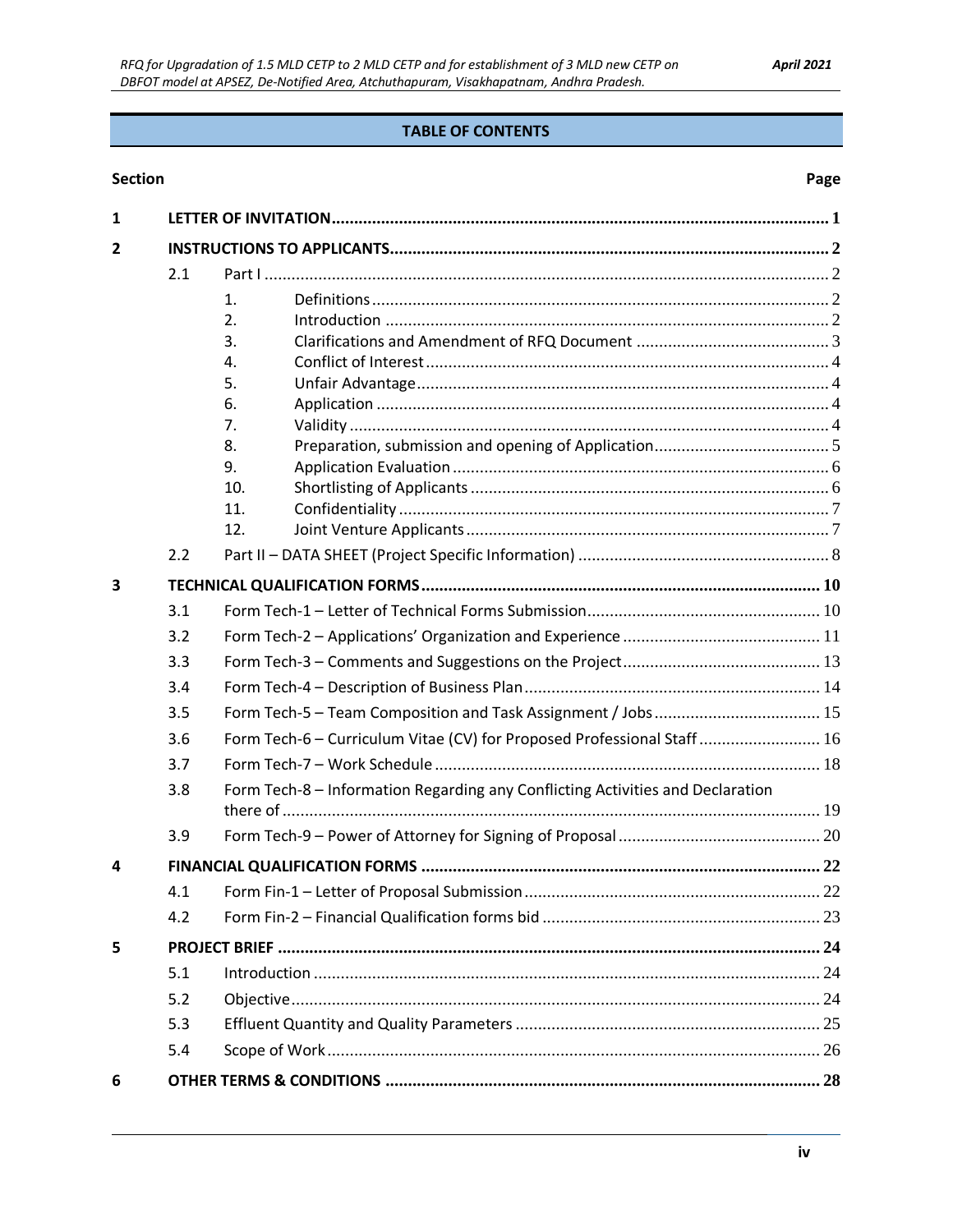#### **TABLE OF CONTENTS**

#### **Section**

#### Page

| 1 |     |                                                                                |  |
|---|-----|--------------------------------------------------------------------------------|--|
| 2 |     |                                                                                |  |
|   | 2.1 |                                                                                |  |
|   |     | 1.                                                                             |  |
|   |     | 2.                                                                             |  |
|   |     | 3.                                                                             |  |
|   |     | 4.                                                                             |  |
|   |     | 5.                                                                             |  |
|   |     | 6.                                                                             |  |
|   |     | 7.                                                                             |  |
|   |     | 8.                                                                             |  |
|   |     | 9.                                                                             |  |
|   |     | 10.                                                                            |  |
|   |     | 11.<br>12.                                                                     |  |
|   | 2.2 |                                                                                |  |
| 3 |     |                                                                                |  |
|   | 3.1 |                                                                                |  |
|   | 3.2 |                                                                                |  |
|   | 3.3 |                                                                                |  |
|   | 3.4 |                                                                                |  |
|   | 3.5 |                                                                                |  |
|   | 3.6 | Form Tech-6 - Curriculum Vitae (CV) for Proposed Professional Staff  16        |  |
|   | 3.7 |                                                                                |  |
|   | 3.8 | Form Tech-8 - Information Regarding any Conflicting Activities and Declaration |  |
|   |     |                                                                                |  |
|   | 3.9 |                                                                                |  |
| 4 |     |                                                                                |  |
|   | 4.1 |                                                                                |  |
|   | 4.2 |                                                                                |  |
| 5 |     |                                                                                |  |
|   | 5.1 |                                                                                |  |
|   | 5.2 |                                                                                |  |
|   | 5.3 |                                                                                |  |
|   | 5.4 |                                                                                |  |
| 6 |     |                                                                                |  |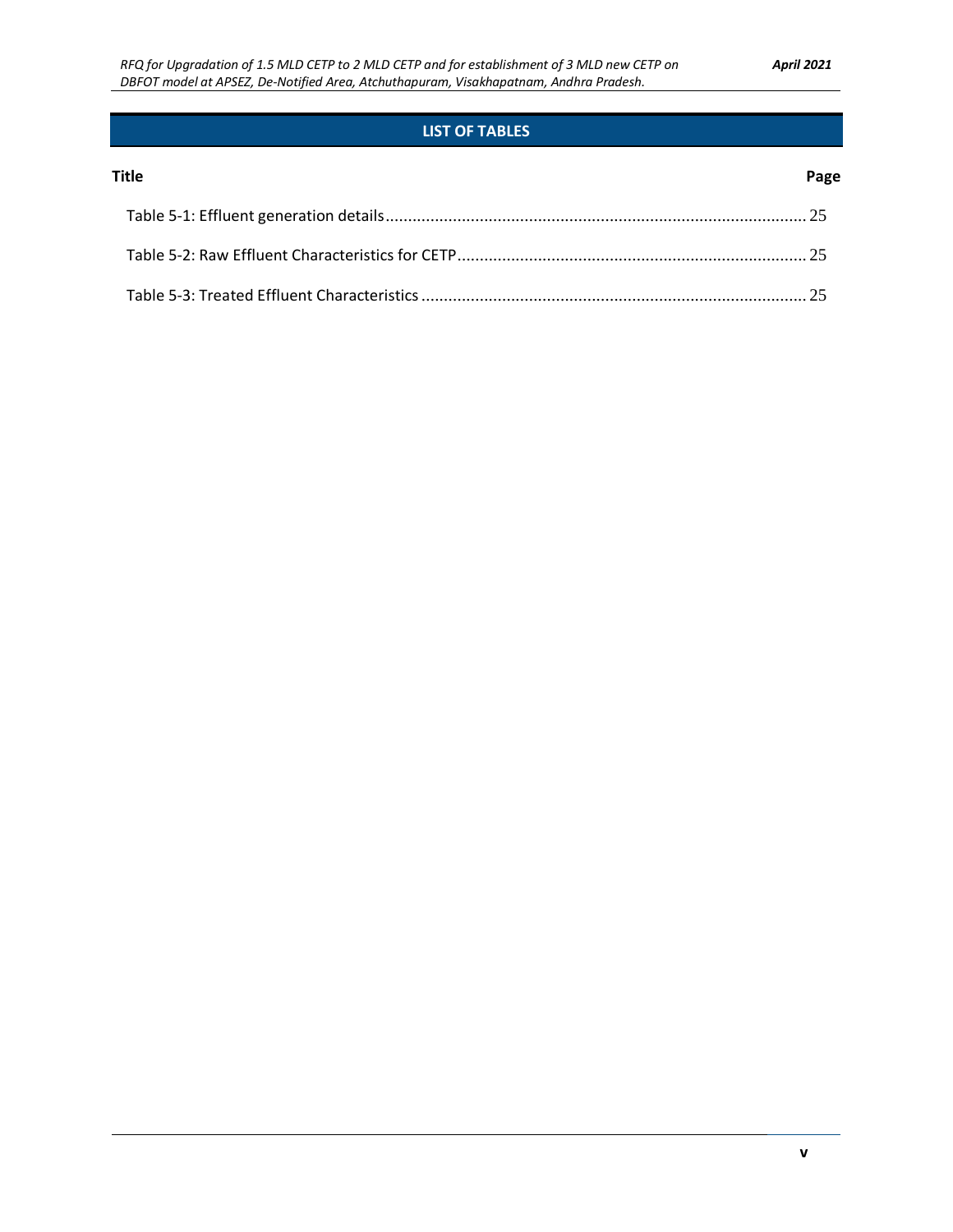### **LIST OF TABLES**

#### **Title Page**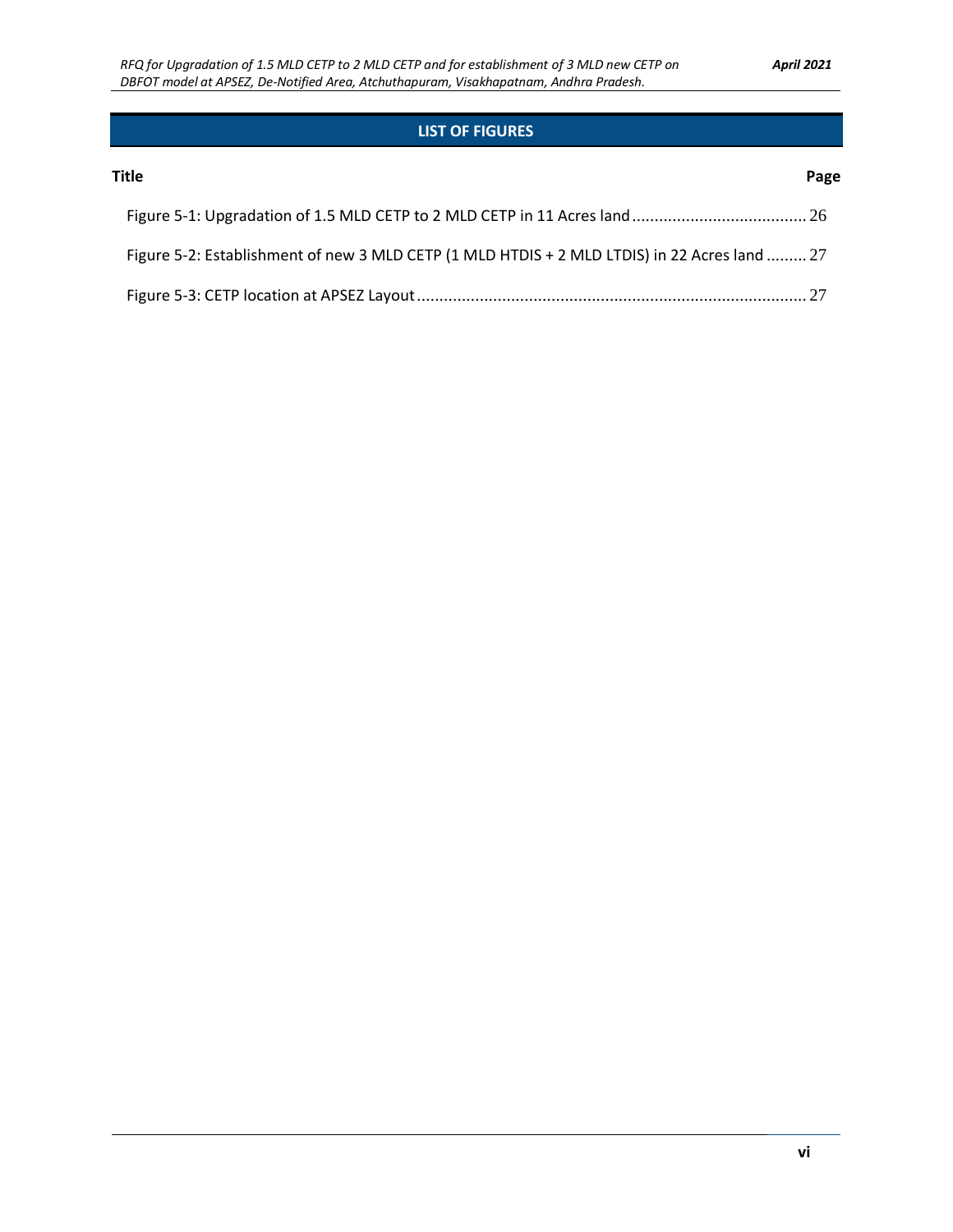### **LIST OF FIGURES**

| Title                                                                                        | Page |
|----------------------------------------------------------------------------------------------|------|
|                                                                                              |      |
| Figure 5-2: Establishment of new 3 MLD CETP (1 MLD HTDIS + 2 MLD LTDIS) in 22 Acres land  27 |      |
|                                                                                              |      |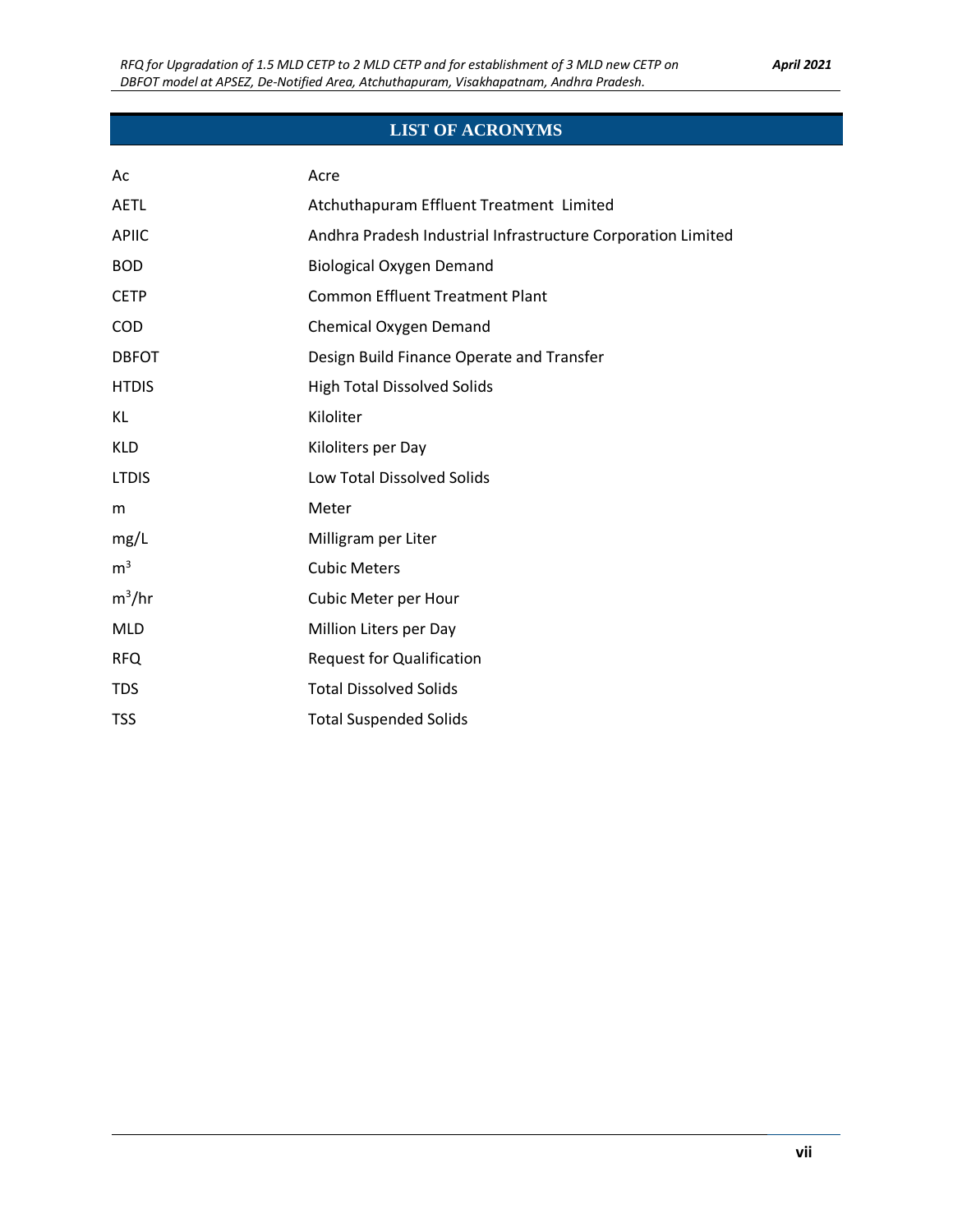### **LIST OF ACRONYMS**

| Ac             | Acre                                                         |
|----------------|--------------------------------------------------------------|
| <b>AETL</b>    | Atchuthapuram Effluent Treatment Limited                     |
| <b>APIIC</b>   | Andhra Pradesh Industrial Infrastructure Corporation Limited |
| <b>BOD</b>     | <b>Biological Oxygen Demand</b>                              |
| <b>CETP</b>    | <b>Common Effluent Treatment Plant</b>                       |
| COD            | <b>Chemical Oxygen Demand</b>                                |
| <b>DBFOT</b>   | Design Build Finance Operate and Transfer                    |
| <b>HTDIS</b>   | <b>High Total Dissolved Solids</b>                           |
| KL             | Kiloliter                                                    |
| <b>KLD</b>     | Kiloliters per Day                                           |
| <b>LTDIS</b>   | Low Total Dissolved Solids                                   |
| m              | Meter                                                        |
| mg/L           | Milligram per Liter                                          |
| m <sup>3</sup> | <b>Cubic Meters</b>                                          |
| $m^3/hr$       | Cubic Meter per Hour                                         |
| <b>MLD</b>     | Million Liters per Day                                       |
| <b>RFQ</b>     | <b>Request for Qualification</b>                             |
| <b>TDS</b>     | <b>Total Dissolved Solids</b>                                |
| <b>TSS</b>     | <b>Total Suspended Solids</b>                                |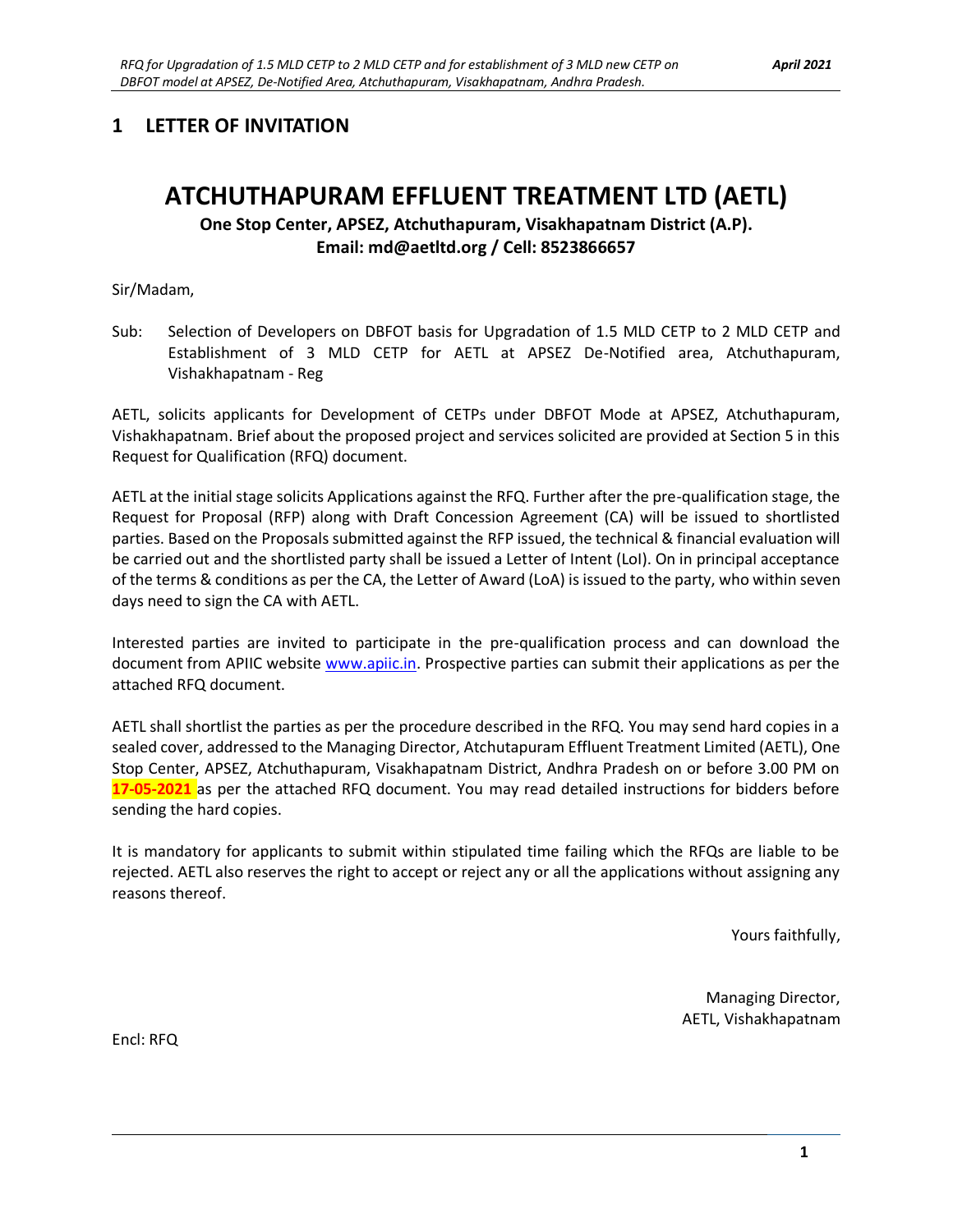### **1 LETTER OF INVITATION**

# **ATCHUTHAPURAM EFFLUENT TREATMENT LTD (AETL)**

**One Stop Center, APSEZ, Atchuthapuram, Visakhapatnam District (A.P). Email: md@aetltd.org / Cell: 8523866657**

Sir/Madam,

Sub: Selection of Developers on DBFOT basis for Upgradation of 1.5 MLD CETP to 2 MLD CETP and Establishment of 3 MLD CETP for AETL at APSEZ De-Notified area, Atchuthapuram, Vishakhapatnam - Reg

AETL, solicits applicants for Development of CETPs under DBFOT Mode at APSEZ, Atchuthapuram, Vishakhapatnam. Brief about the proposed project and services solicited are provided at Section 5 in this Request for Qualification (RFQ) document.

AETL at the initial stage solicits Applications against the RFQ. Further after the pre-qualification stage, the Request for Proposal (RFP) along with Draft Concession Agreement (CA) will be issued to shortlisted parties. Based on the Proposals submitted against the RFP issued, the technical & financial evaluation will be carried out and the shortlisted party shall be issued a Letter of Intent (LoI). On in principal acceptance of the terms & conditions as per the CA, the Letter of Award (LoA) is issued to the party, who within seven days need to sign the CA with AETL.

Interested parties are invited to participate in the pre-qualification process and can download the document from APIIC website [www.apiic.in.](http://www.apiic.in/) Prospective parties can submit their applications as per the attached RFQ document.

AETL shall shortlist the parties as per the procedure described in the RFQ. You may send hard copies in a sealed cover, addressed to the Managing Director, Atchutapuram Effluent Treatment Limited (AETL), One Stop Center, APSEZ, Atchuthapuram, Visakhapatnam District, Andhra Pradesh on or before 3.00 PM on **17-05-2021** as per the attached RFQ document. You may read detailed instructions for bidders before sending the hard copies.

It is mandatory for applicants to submit within stipulated time failing which the RFQs are liable to be rejected. AETL also reserves the right to accept or reject any or all the applications without assigning any reasons thereof.

Yours faithfully,

Managing Director, AETL, Vishakhapatnam

Encl: RFQ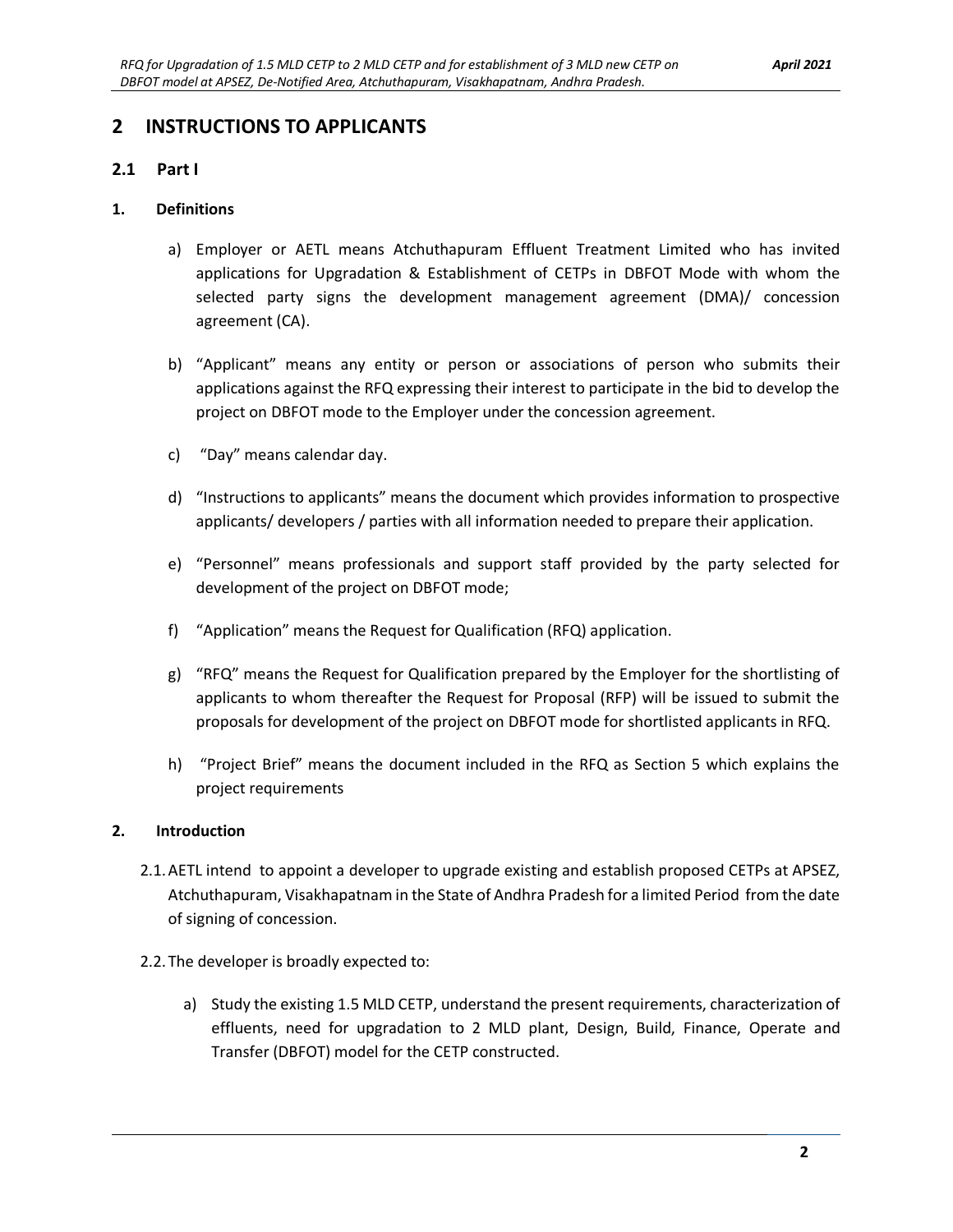### **2 INSTRUCTIONS TO APPLICANTS**

#### **2.1 Part I**

#### **1. Definitions**

- a) Employer or AETL means Atchuthapuram Effluent Treatment Limited who has invited applications for Upgradation & Establishment of CETPs in DBFOT Mode with whom the selected party signs the development management agreement (DMA)/ concession agreement (CA).
- b) "Applicant" means any entity or person or associations of person who submits their applications against the RFQ expressing their interest to participate in the bid to develop the project on DBFOT mode to the Employer under the concession agreement.
- c) "Day" means calendar day.
- d) "Instructions to applicants" means the document which provides information to prospective applicants/ developers / parties with all information needed to prepare their application.
- e) "Personnel" means professionals and support staff provided by the party selected for development of the project on DBFOT mode;
- f) "Application" means the Request for Qualification (RFQ) application.
- g) "RFQ" means the Request for Qualification prepared by the Employer for the shortlisting of applicants to whom thereafter the Request for Proposal (RFP) will be issued to submit the proposals for development of the project on DBFOT mode for shortlisted applicants in RFQ.
- h) "Project Brief" means the document included in the RFQ as Section 5 which explains the project requirements

#### **2. Introduction**

- 2.1.AETL intend to appoint a developer to upgrade existing and establish proposed CETPs at APSEZ, Atchuthapuram, Visakhapatnam in the State of Andhra Pradesh for a limited Period from the date of signing of concession.
- 2.2.The developer is broadly expected to:
	- a) Study the existing 1.5 MLD CETP, understand the present requirements, characterization of effluents, need for upgradation to 2 MLD plant, Design, Build, Finance, Operate and Transfer (DBFOT) model for the CETP constructed.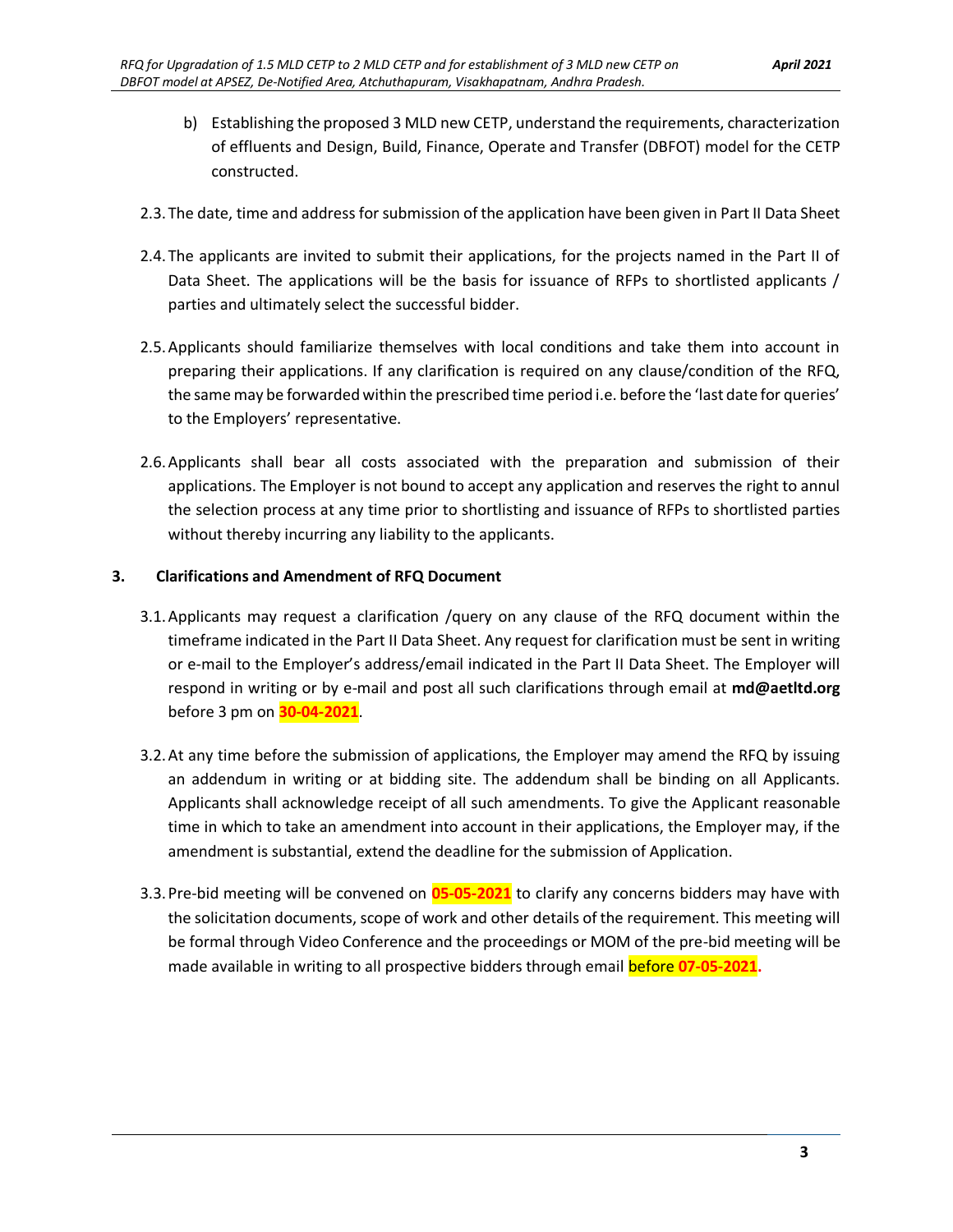- b) Establishing the proposed 3 MLD new CETP, understand the requirements, characterization of effluents and Design, Build, Finance, Operate and Transfer (DBFOT) model for the CETP constructed.
- 2.3.The date, time and address for submission of the application have been given in Part II Data Sheet
- 2.4.The applicants are invited to submit their applications, for the projects named in the Part II of Data Sheet. The applications will be the basis for issuance of RFPs to shortlisted applicants / parties and ultimately select the successful bidder.
- 2.5.Applicants should familiarize themselves with local conditions and take them into account in preparing their applications. If any clarification is required on any clause/condition of the RFQ, the same may be forwarded within the prescribed time period i.e. before the 'last date for queries' to the Employers' representative.
- 2.6.Applicants shall bear all costs associated with the preparation and submission of their applications. The Employer is not bound to accept any application and reserves the right to annul the selection process at any time prior to shortlisting and issuance of RFPs to shortlisted parties without thereby incurring any liability to the applicants.

#### **3. Clarifications and Amendment of RFQ Document**

- 3.1.Applicants may request a clarification /query on any clause of the RFQ document within the timeframe indicated in the Part II Data Sheet. Any request for clarification must be sent in writing or e-mail to the Employer's address/email indicated in the Part II Data Sheet. The Employer will respond in writing or by e-mail and post all such clarifications through email at **md@aetltd.org** before 3 pm on **30-04-2021**.
- 3.2.At any time before the submission of applications, the Employer may amend the RFQ by issuing an addendum in writing or at bidding site. The addendum shall be binding on all Applicants. Applicants shall acknowledge receipt of all such amendments. To give the Applicant reasonable time in which to take an amendment into account in their applications, the Employer may, if the amendment is substantial, extend the deadline for the submission of Application.
- 3.3.Pre-bid meeting will be convened on **05-05-2021** to clarify any concerns bidders may have with the solicitation documents, scope of work and other details of the requirement. This meeting will be formal through Video Conference and the proceedings or MOM of the pre-bid meeting will be made available in writing to all prospective bidders through email before **07-05-2021.**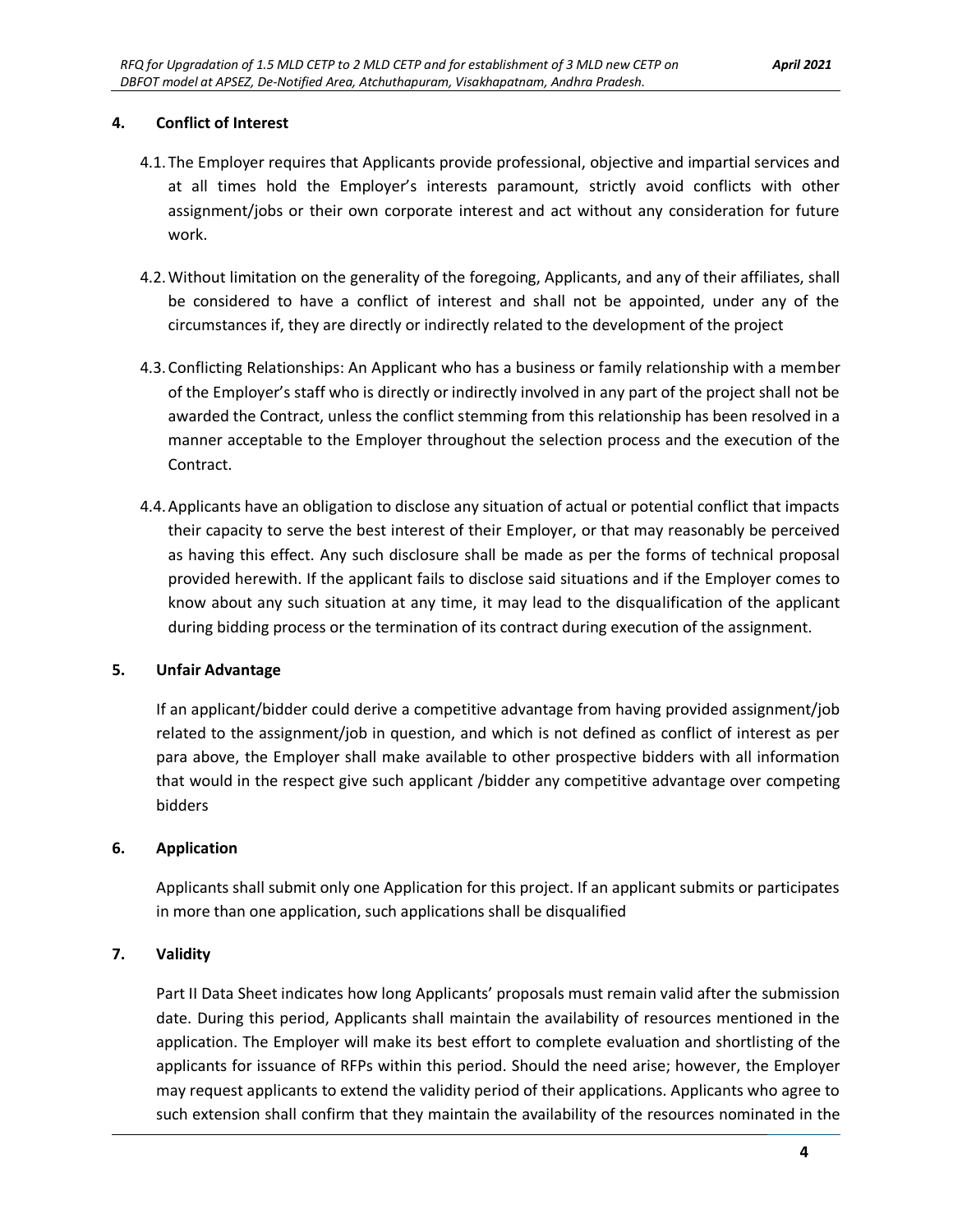#### **4. Conflict of Interest**

- 4.1.The Employer requires that Applicants provide professional, objective and impartial services and at all times hold the Employer's interests paramount, strictly avoid conflicts with other assignment/jobs or their own corporate interest and act without any consideration for future work.
- 4.2.Without limitation on the generality of the foregoing, Applicants, and any of their affiliates, shall be considered to have a conflict of interest and shall not be appointed, under any of the circumstances if, they are directly or indirectly related to the development of the project
- 4.3.Conflicting Relationships: An Applicant who has a business or family relationship with a member of the Employer's staff who is directly or indirectly involved in any part of the project shall not be awarded the Contract, unless the conflict stemming from this relationship has been resolved in a manner acceptable to the Employer throughout the selection process and the execution of the Contract.
- 4.4.Applicants have an obligation to disclose any situation of actual or potential conflict that impacts their capacity to serve the best interest of their Employer, or that may reasonably be perceived as having this effect. Any such disclosure shall be made as per the forms of technical proposal provided herewith. If the applicant fails to disclose said situations and if the Employer comes to know about any such situation at any time, it may lead to the disqualification of the applicant during bidding process or the termination of its contract during execution of the assignment.

#### **5. Unfair Advantage**

If an applicant/bidder could derive a competitive advantage from having provided assignment/job related to the assignment/job in question, and which is not defined as conflict of interest as per para above, the Employer shall make available to other prospective bidders with all information that would in the respect give such applicant /bidder any competitive advantage over competing bidders

#### **6. Application**

Applicants shall submit only one Application for this project. If an applicant submits or participates in more than one application, such applications shall be disqualified

#### **7. Validity**

Part II Data Sheet indicates how long Applicants' proposals must remain valid after the submission date. During this period, Applicants shall maintain the availability of resources mentioned in the application. The Employer will make its best effort to complete evaluation and shortlisting of the applicants for issuance of RFPs within this period. Should the need arise; however, the Employer may request applicants to extend the validity period of their applications. Applicants who agree to such extension shall confirm that they maintain the availability of the resources nominated in the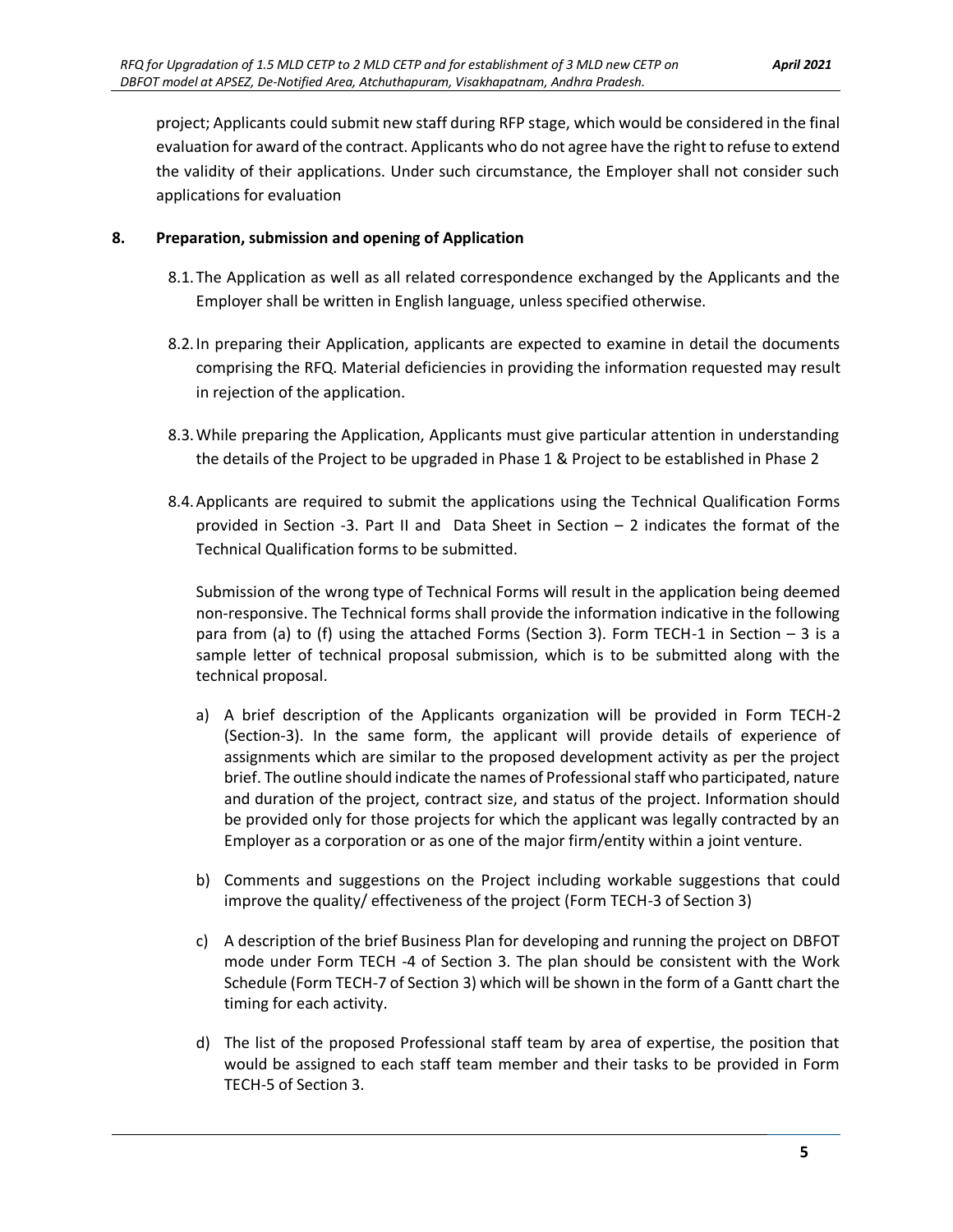project; Applicants could submit new staff during RFP stage, which would be considered in the final evaluation for award of the contract. Applicants who do not agree have the right to refuse to extend the validity of their applications. Under such circumstance, the Employer shall not consider such applications for evaluation

#### **8. Preparation, submission and opening of Application**

- 8.1.The Application as well as all related correspondence exchanged by the Applicants and the Employer shall be written in English language, unless specified otherwise.
- 8.2.In preparing their Application, applicants are expected to examine in detail the documents comprising the RFQ. Material deficiencies in providing the information requested may result in rejection of the application.
- 8.3.While preparing the Application, Applicants must give particular attention in understanding the details of the Project to be upgraded in Phase 1 & Project to be established in Phase 2
- 8.4.Applicants are required to submit the applications using the Technical Qualification Forms provided in Section -3. Part II and Data Sheet in Section – 2 indicates the format of the Technical Qualification forms to be submitted.

Submission of the wrong type of Technical Forms will result in the application being deemed non-responsive. The Technical forms shall provide the information indicative in the following para from (a) to (f) using the attached Forms (Section 3). Form TECH-1 in Section – 3 is a sample letter of technical proposal submission, which is to be submitted along with the technical proposal.

- a) A brief description of the Applicants organization will be provided in Form TECH-2 (Section-3). In the same form, the applicant will provide details of experience of assignments which are similar to the proposed development activity as per the project brief. The outline should indicate the names of Professional staff who participated, nature and duration of the project, contract size, and status of the project. Information should be provided only for those projects for which the applicant was legally contracted by an Employer as a corporation or as one of the major firm/entity within a joint venture.
- b) Comments and suggestions on the Project including workable suggestions that could improve the quality/ effectiveness of the project (Form TECH-3 of Section 3)
- c) A description of the brief Business Plan for developing and running the project on DBFOT mode under Form TECH -4 of Section 3. The plan should be consistent with the Work Schedule (Form TECH-7 of Section 3) which will be shown in the form of a Gantt chart the timing for each activity.
- d) The list of the proposed Professional staff team by area of expertise, the position that would be assigned to each staff team member and their tasks to be provided in Form TECH-5 of Section 3.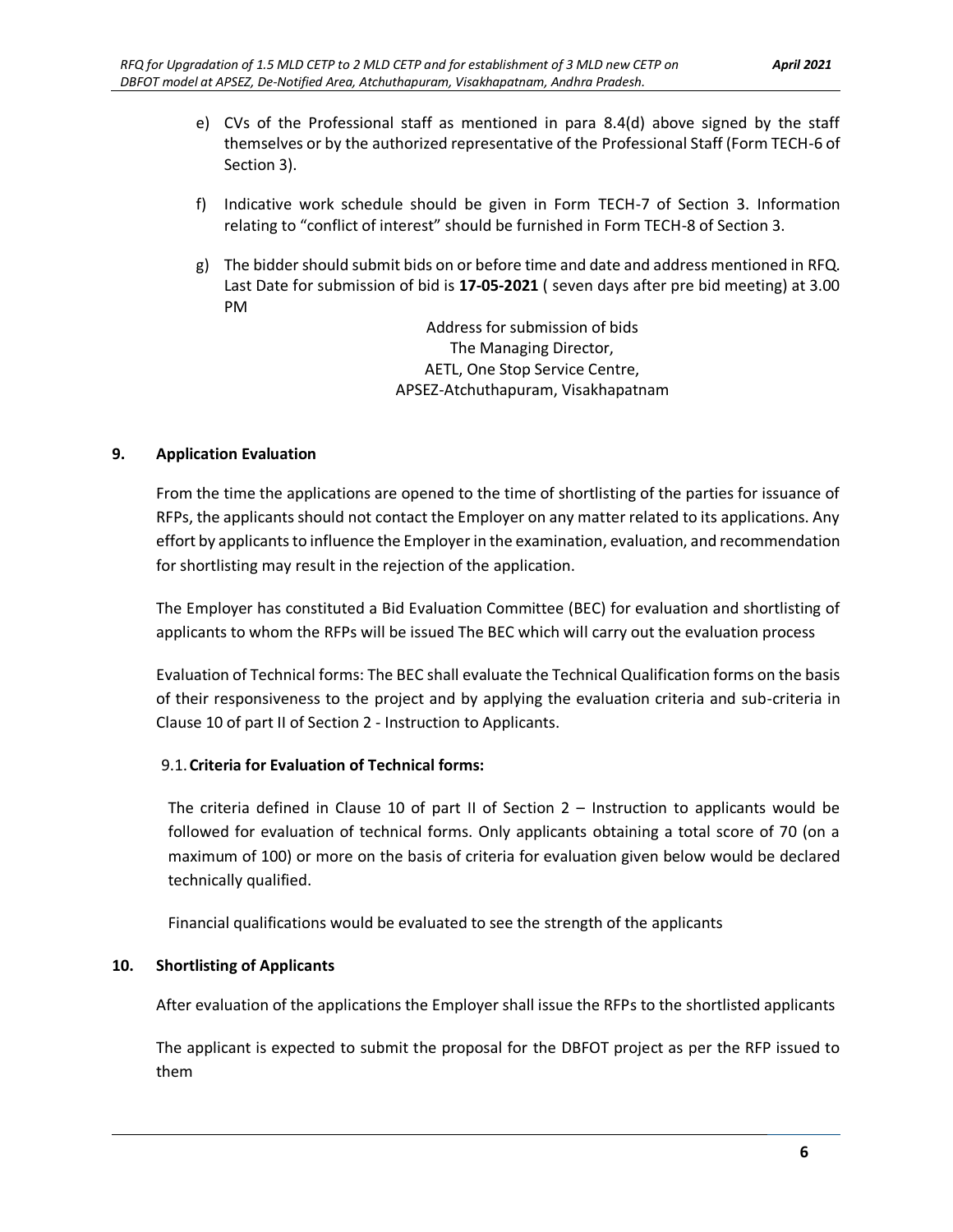- e) CVs of the Professional staff as mentioned in para 8.4(d) above signed by the staff themselves or by the authorized representative of the Professional Staff (Form TECH-6 of Section 3).
- f) Indicative work schedule should be given in Form TECH-7 of Section 3. Information relating to "conflict of interest" should be furnished in Form TECH-8 of Section 3.
- g) The bidder should submit bids on or before time and date and address mentioned in RFQ. Last Date for submission of bid is **17-05-2021** ( seven days after pre bid meeting) at 3.00 PM

Address for submission of bids The Managing Director, AETL, One Stop Service Centre, APSEZ-Atchuthapuram, Visakhapatnam

#### **9. Application Evaluation**

From the time the applications are opened to the time of shortlisting of the parties for issuance of RFPs, the applicants should not contact the Employer on any matter related to its applications. Any effort by applicants to influence the Employer in the examination, evaluation, and recommendation for shortlisting may result in the rejection of the application.

The Employer has constituted a Bid Evaluation Committee (BEC) for evaluation and shortlisting of applicants to whom the RFPs will be issued The BEC which will carry out the evaluation process

Evaluation of Technical forms: The BEC shall evaluate the Technical Qualification forms on the basis of their responsiveness to the project and by applying the evaluation criteria and sub-criteria in Clause 10 of part II of Section 2 - Instruction to Applicants.

#### 9.1.**Criteria for Evaluation of Technical forms:**

The criteria defined in Clause 10 of part II of Section  $2 -$  Instruction to applicants would be followed for evaluation of technical forms. Only applicants obtaining a total score of 70 (on a maximum of 100) or more on the basis of criteria for evaluation given below would be declared technically qualified.

Financial qualifications would be evaluated to see the strength of the applicants

#### **10. Shortlisting of Applicants**

After evaluation of the applications the Employer shall issue the RFPs to the shortlisted applicants

The applicant is expected to submit the proposal for the DBFOT project as per the RFP issued to them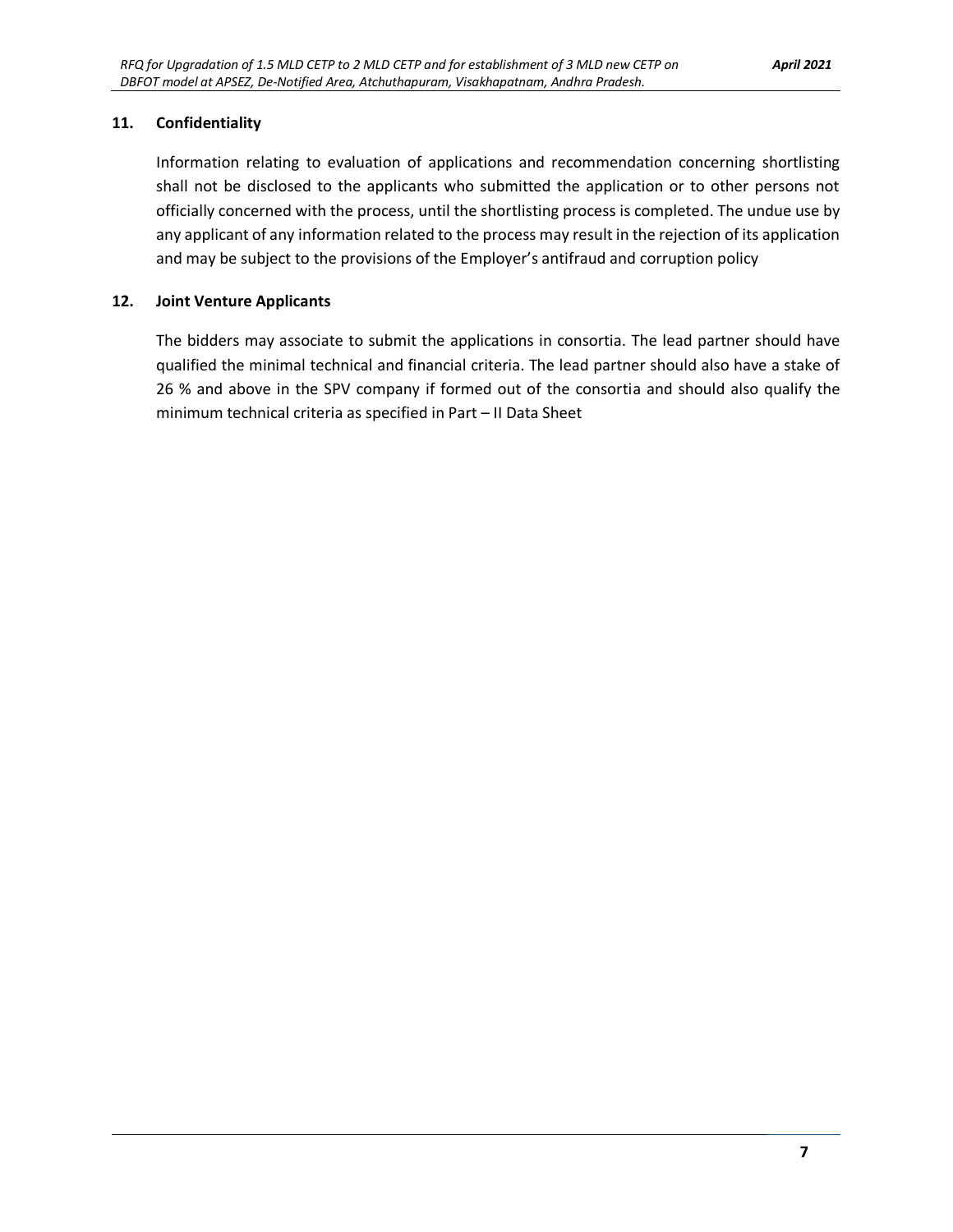#### **11. Confidentiality**

Information relating to evaluation of applications and recommendation concerning shortlisting shall not be disclosed to the applicants who submitted the application or to other persons not officially concerned with the process, until the shortlisting process is completed. The undue use by any applicant of any information related to the process may result in the rejection of its application and may be subject to the provisions of the Employer's antifraud and corruption policy

#### **12. Joint Venture Applicants**

The bidders may associate to submit the applications in consortia. The lead partner should have qualified the minimal technical and financial criteria. The lead partner should also have a stake of 26 % and above in the SPV company if formed out of the consortia and should also qualify the minimum technical criteria as specified in Part – II Data Sheet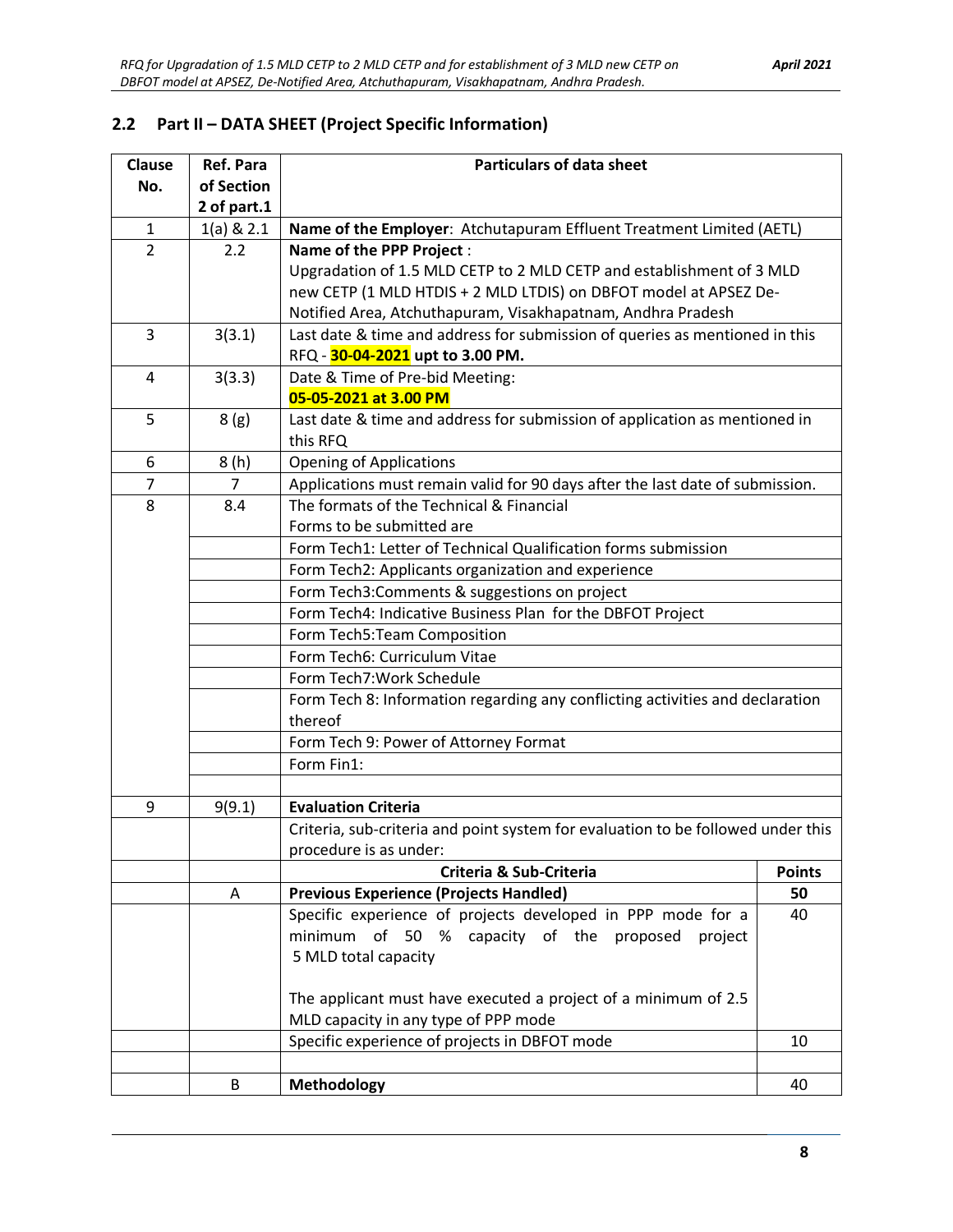# **2.2 Part II – DATA SHEET (Project Specific Information)**

| <b>Clause</b>  | <b>Ref. Para</b>        | <b>Particulars of data sheet</b>                                                 |    |  |
|----------------|-------------------------|----------------------------------------------------------------------------------|----|--|
| No.            | of Section              |                                                                                  |    |  |
|                | 2 of part.1             |                                                                                  |    |  |
| $\mathbf{1}$   | $1(a)$ & $2.1$          | Name of the Employer: Atchutapuram Effluent Treatment Limited (AETL)             |    |  |
| $\overline{2}$ | 2.2                     | Name of the PPP Project :                                                        |    |  |
|                |                         | Upgradation of 1.5 MLD CETP to 2 MLD CETP and establishment of 3 MLD             |    |  |
|                |                         | new CETP (1 MLD HTDIS + 2 MLD LTDIS) on DBFOT model at APSEZ De-                 |    |  |
|                |                         | Notified Area, Atchuthapuram, Visakhapatnam, Andhra Pradesh                      |    |  |
| 3              | 3(3.1)                  | Last date & time and address for submission of queries as mentioned in this      |    |  |
|                |                         | RFQ - 30-04-2021 upt to 3.00 PM.                                                 |    |  |
| 4              | 3(3.3)                  | Date & Time of Pre-bid Meeting:<br>05-05-2021 at 3.00 PM                         |    |  |
| 5              | 8(g)                    | Last date & time and address for submission of application as mentioned in       |    |  |
|                |                         | this RFQ                                                                         |    |  |
| 6              | 8 (h)                   | <b>Opening of Applications</b>                                                   |    |  |
| $\overline{7}$ | $\overline{7}$          | Applications must remain valid for 90 days after the last date of submission.    |    |  |
| 8              | 8.4                     | The formats of the Technical & Financial                                         |    |  |
|                |                         | Forms to be submitted are                                                        |    |  |
|                |                         | Form Tech1: Letter of Technical Qualification forms submission                   |    |  |
|                |                         | Form Tech2: Applicants organization and experience                               |    |  |
|                |                         | Form Tech3: Comments & suggestions on project                                    |    |  |
|                |                         | Form Tech4: Indicative Business Plan for the DBFOT Project                       |    |  |
|                |                         | Form Tech5: Team Composition                                                     |    |  |
|                |                         | Form Tech6: Curriculum Vitae                                                     |    |  |
|                |                         | Form Tech7: Work Schedule                                                        |    |  |
|                |                         | Form Tech 8: Information regarding any conflicting activities and declaration    |    |  |
|                |                         | thereof                                                                          |    |  |
|                |                         | Form Tech 9: Power of Attorney Format                                            |    |  |
|                |                         | Form Fin1:                                                                       |    |  |
|                |                         |                                                                                  |    |  |
| 9              | 9(9.1)                  | <b>Evaluation Criteria</b>                                                       |    |  |
|                |                         | Criteria, sub-criteria and point system for evaluation to be followed under this |    |  |
|                |                         | procedure is as under:                                                           |    |  |
|                |                         | <b>Points</b><br>Criteria & Sub-Criteria                                         |    |  |
|                | A                       | <b>Previous Experience (Projects Handled)</b><br>50                              |    |  |
|                |                         | Specific experience of projects developed in PPP mode for a                      |    |  |
|                |                         | minimum of 50 % capacity of the proposed project                                 |    |  |
|                |                         | 5 MLD total capacity                                                             |    |  |
|                |                         | The applicant must have executed a project of a minimum of 2.5                   |    |  |
|                |                         | MLD capacity in any type of PPP mode                                             |    |  |
|                |                         | Specific experience of projects in DBFOT mode<br>10                              |    |  |
|                |                         |                                                                                  |    |  |
|                | <b>Methodology</b><br>B |                                                                                  | 40 |  |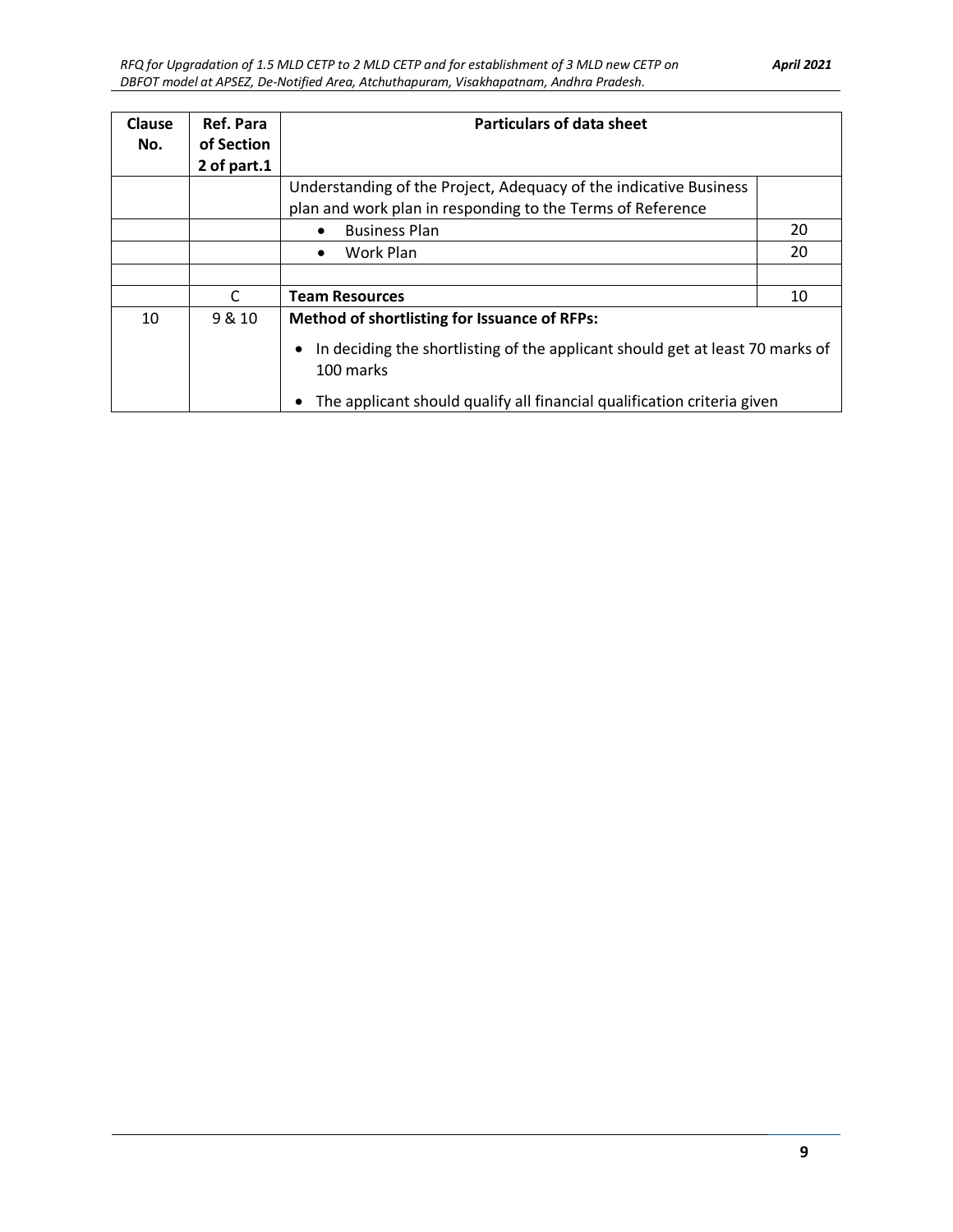| Clause<br>No. | Ref. Para<br>of Section<br>2 of part.1 | <b>Particulars of data sheet</b>                                                                                                                               |                                                            |  |
|---------------|----------------------------------------|----------------------------------------------------------------------------------------------------------------------------------------------------------------|------------------------------------------------------------|--|
|               |                                        | Understanding of the Project, Adequacy of the indicative Business                                                                                              |                                                            |  |
|               |                                        |                                                                                                                                                                | plan and work plan in responding to the Terms of Reference |  |
|               |                                        | 20<br><b>Business Plan</b><br>$\bullet$                                                                                                                        |                                                            |  |
|               |                                        | Work Plan<br>٠                                                                                                                                                 | 20                                                         |  |
|               |                                        |                                                                                                                                                                |                                                            |  |
|               | $\mathsf{C}$                           | <b>Team Resources</b><br>10                                                                                                                                    |                                                            |  |
| 10            | 9 & 10                                 | <b>Method of shortlisting for Issuance of RFPs:</b><br>In deciding the shortlisting of the applicant should get at least 70 marks of<br>$\bullet$<br>100 marks |                                                            |  |
|               |                                        | The applicant should qualify all financial qualification criteria given<br>٠                                                                                   |                                                            |  |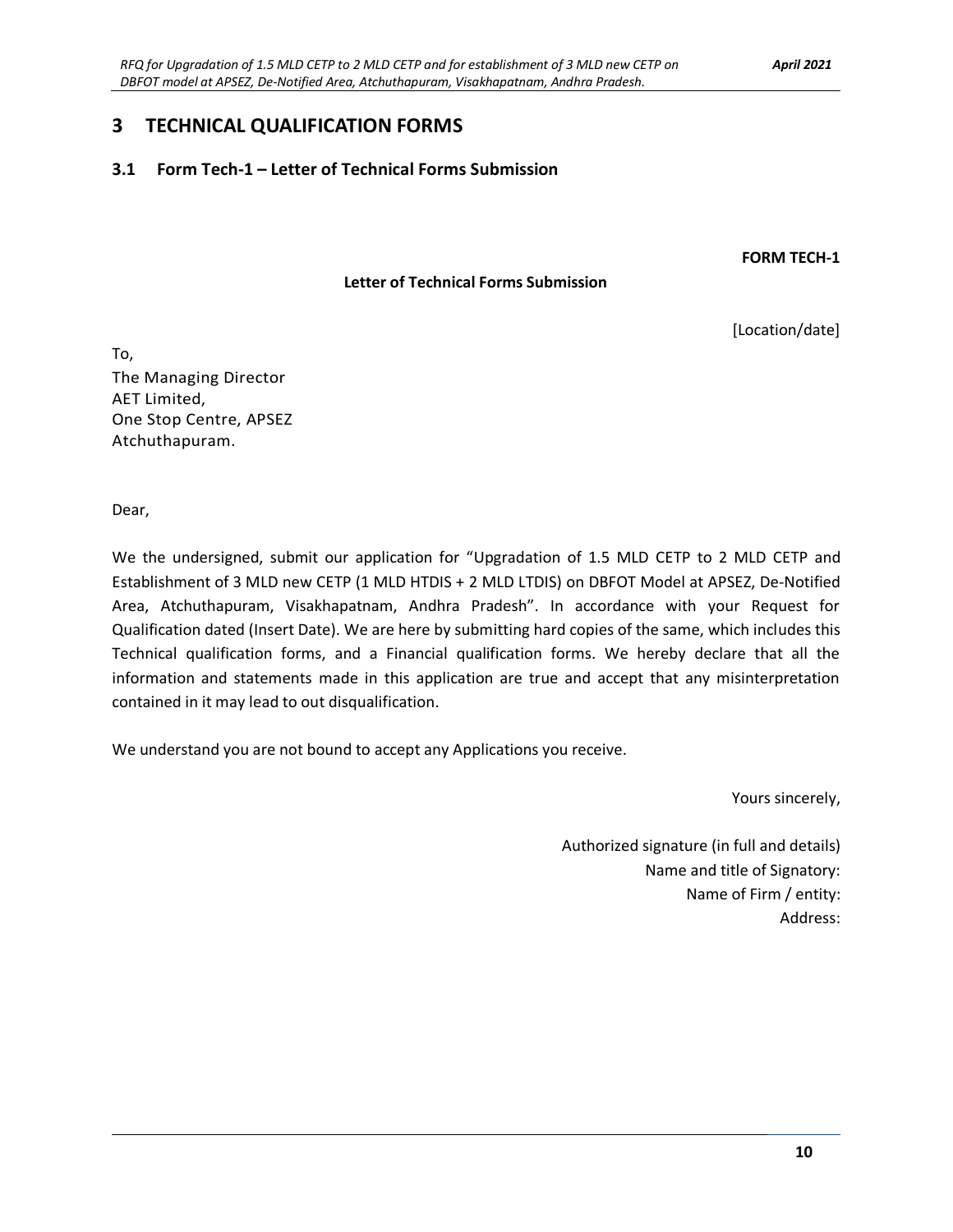### **3 TECHNICAL QUALIFICATION FORMS**

#### **3.1 Form Tech-1 – Letter of Technical Forms Submission**

**FORM TECH-1**

#### **Letter of Technical Forms Submission**

[Location/date]

To, The Managing Director AET Limited, One Stop Centre, APSEZ Atchuthapuram.

Dear,

We the undersigned, submit our application for "Upgradation of 1.5 MLD CETP to 2 MLD CETP and Establishment of 3 MLD new CETP (1 MLD HTDIS + 2 MLD LTDIS) on DBFOT Model at APSEZ, De-Notified Area, Atchuthapuram, Visakhapatnam, Andhra Pradesh". In accordance with your Request for Qualification dated (Insert Date). We are here by submitting hard copies of the same, which includes this Technical qualification forms, and a Financial qualification forms. We hereby declare that all the information and statements made in this application are true and accept that any misinterpretation contained in it may lead to out disqualification.

We understand you are not bound to accept any Applications you receive.

Yours sincerely,

Authorized signature (in full and details) Name and title of Signatory: Name of Firm / entity: Address: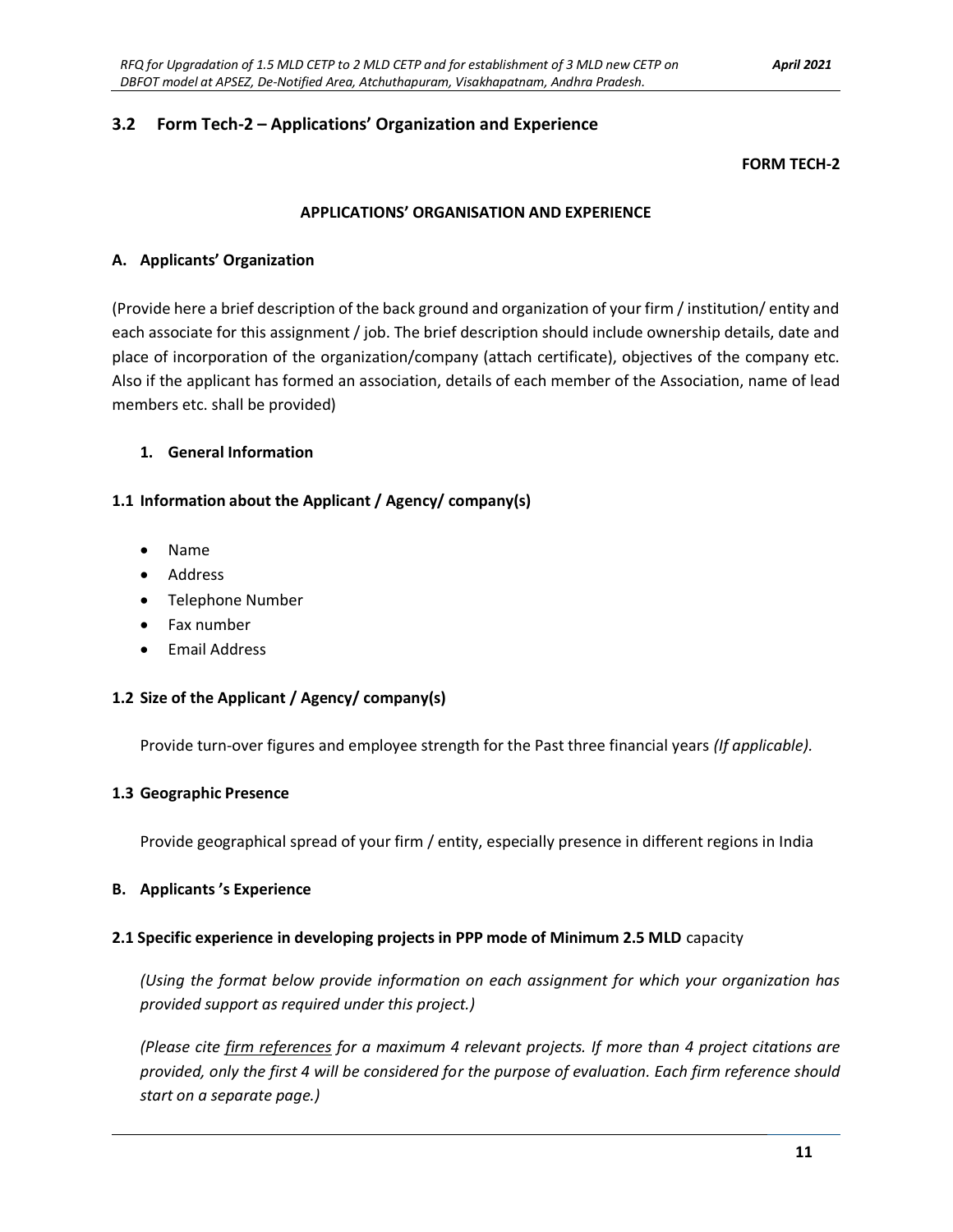#### **3.2 Form Tech-2 – Applications' Organization and Experience**

#### **FORM TECH-2**

#### **APPLICATIONS' ORGANISATION AND EXPERIENCE**

#### **A. Applicants' Organization**

(Provide here a brief description of the back ground and organization of your firm / institution/ entity and each associate for this assignment / job. The brief description should include ownership details, date and place of incorporation of the organization/company (attach certificate), objectives of the company etc. Also if the applicant has formed an association, details of each member of the Association, name of lead members etc. shall be provided)

#### **1. General Information**

#### **1.1 Information about the Applicant / Agency/ company(s)**

- Name
- Address
- Telephone Number
- Fax number
- Email Address

#### **1.2 Size of the Applicant / Agency/ company(s)**

Provide turn-over figures and employee strength for the Past three financial years *(If applicable).* 

#### **1.3 Geographic Presence**

Provide geographical spread of your firm / entity, especially presence in different regions in India

#### **B. Applicants 's Experience**

#### **2.1 Specific experience in developing projects in PPP mode of Minimum 2.5 MLD** capacity

*(Using the format below provide information on each assignment for which your organization has provided support as required under this project.)* 

*(Please cite firm references for a maximum 4 relevant projects. If more than 4 project citations are provided, only the first 4 will be considered for the purpose of evaluation. Each firm reference should start on a separate page.)*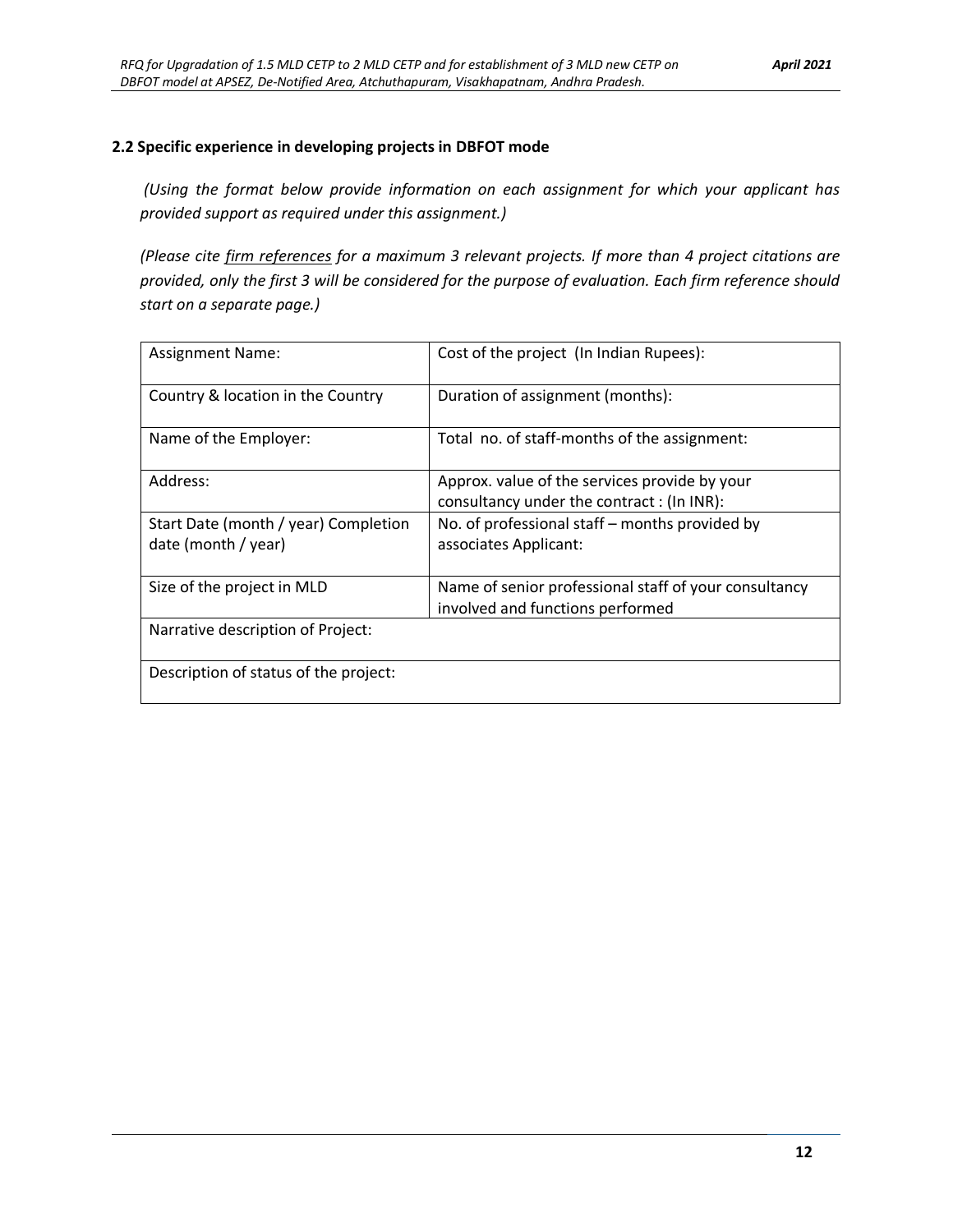#### **2.2 Specific experience in developing projects in DBFOT mode**

*(Using the format below provide information on each assignment for which your applicant has provided support as required under this assignment.)* 

*(Please cite firm references for a maximum 3 relevant projects. If more than 4 project citations are provided, only the first 3 will be considered for the purpose of evaluation. Each firm reference should start on a separate page.)*

| <b>Assignment Name:</b>                                     | Cost of the project (In Indian Rupees):                                                    |  |  |  |
|-------------------------------------------------------------|--------------------------------------------------------------------------------------------|--|--|--|
| Country & location in the Country                           | Duration of assignment (months):                                                           |  |  |  |
| Name of the Employer:                                       | Total no. of staff-months of the assignment:                                               |  |  |  |
| Address:                                                    | Approx. value of the services provide by your<br>consultancy under the contract: (In INR): |  |  |  |
| Start Date (month / year) Completion<br>date (month / year) | No. of professional staff – months provided by<br>associates Applicant:                    |  |  |  |
| Size of the project in MLD                                  | Name of senior professional staff of your consultancy<br>involved and functions performed  |  |  |  |
| Narrative description of Project:                           |                                                                                            |  |  |  |
| Description of status of the project:                       |                                                                                            |  |  |  |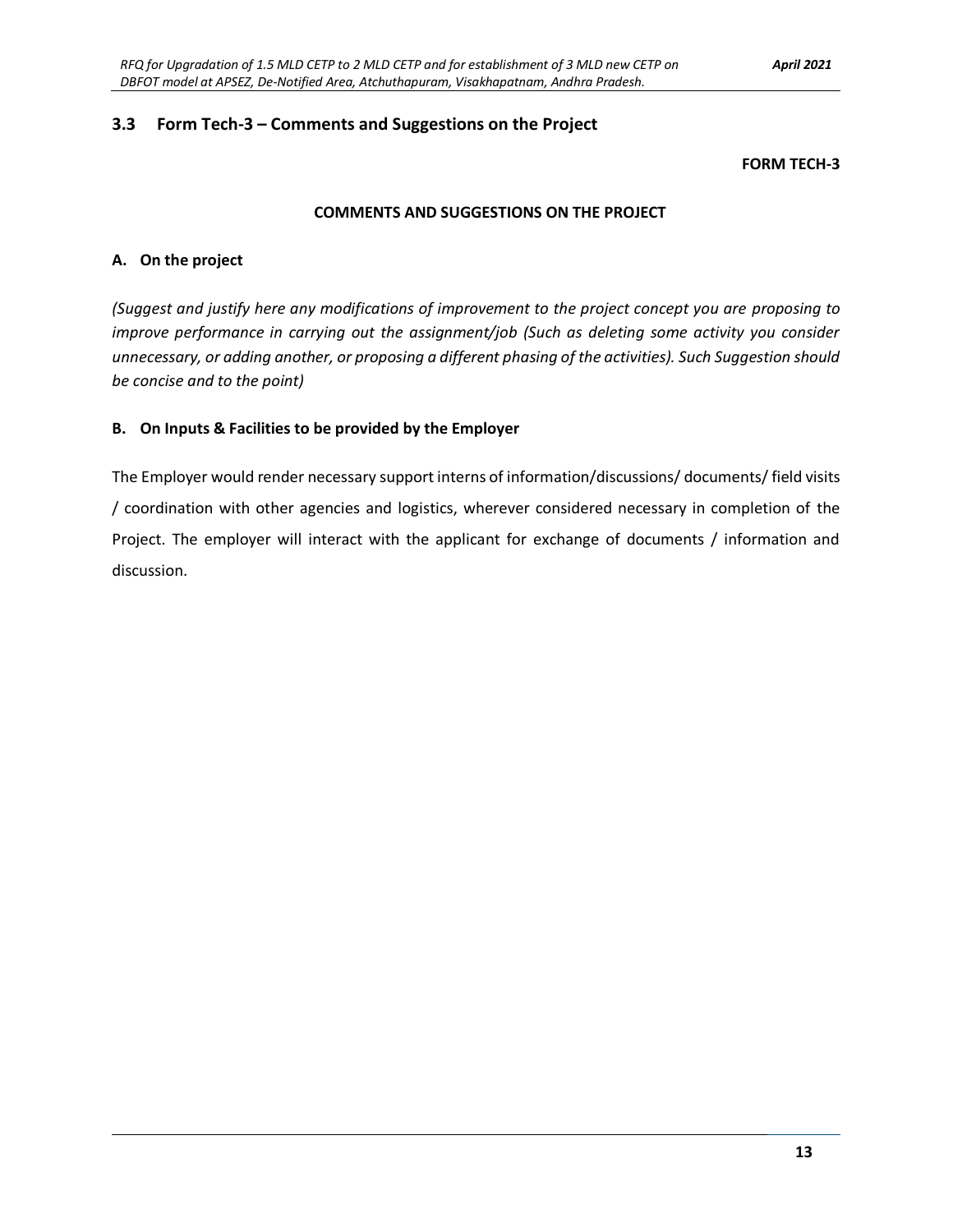#### **3.3 Form Tech-3 – Comments and Suggestions on the Project**

#### **FORM TECH-3**

#### **COMMENTS AND SUGGESTIONS ON THE PROJECT**

#### **A. On the project**

*(Suggest and justify here any modifications of improvement to the project concept you are proposing to improve performance in carrying out the assignment/job (Such as deleting some activity you consider unnecessary, or adding another, or proposing a different phasing of the activities). Such Suggestion should be concise and to the point)*

#### **B. On Inputs & Facilities to be provided by the Employer**

The Employer would render necessary support interns of information/discussions/ documents/ field visits / coordination with other agencies and logistics, wherever considered necessary in completion of the Project. The employer will interact with the applicant for exchange of documents / information and discussion.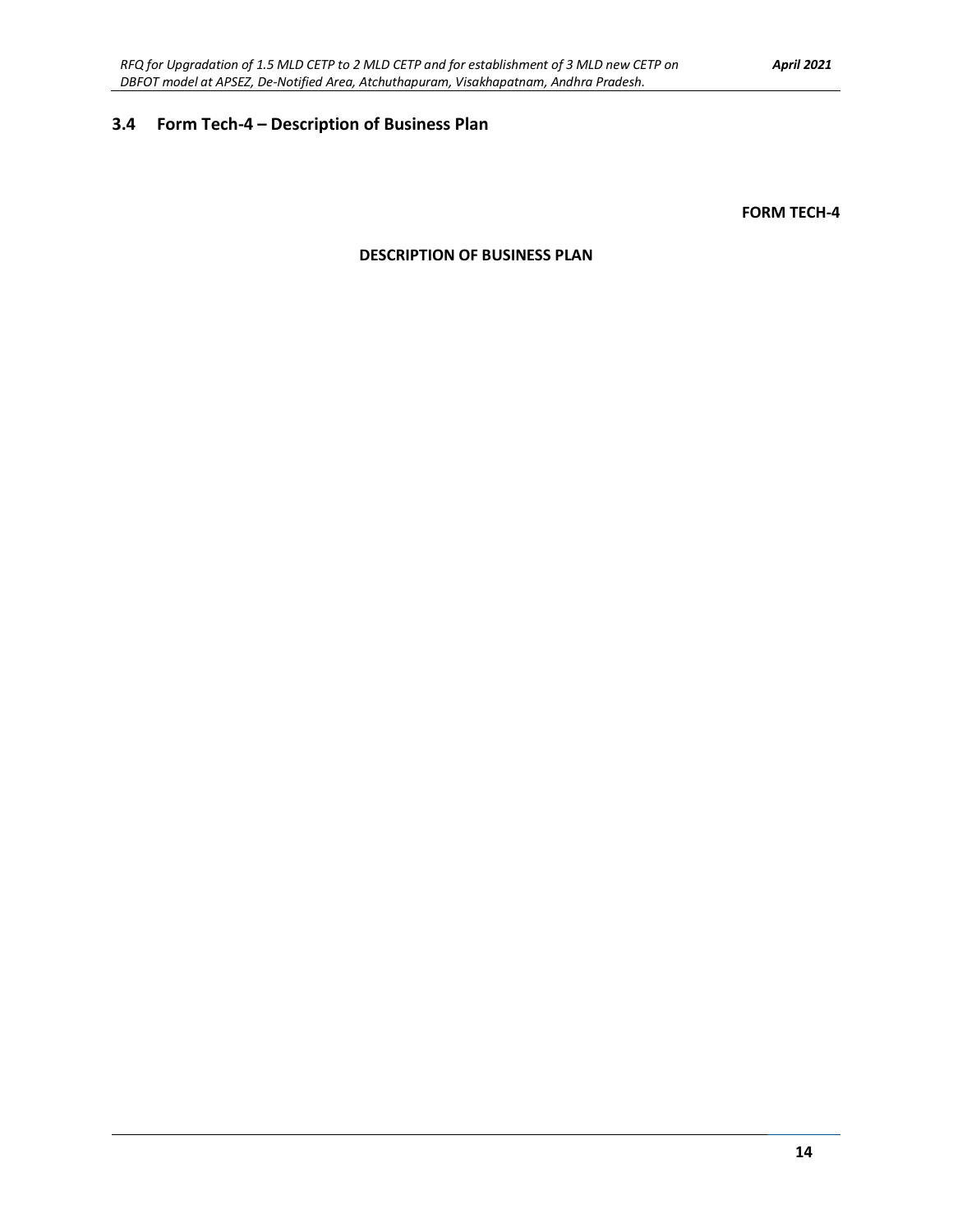### **3.4 Form Tech-4 – Description of Business Plan**

**FORM TECH-4**

#### **DESCRIPTION OF BUSINESS PLAN**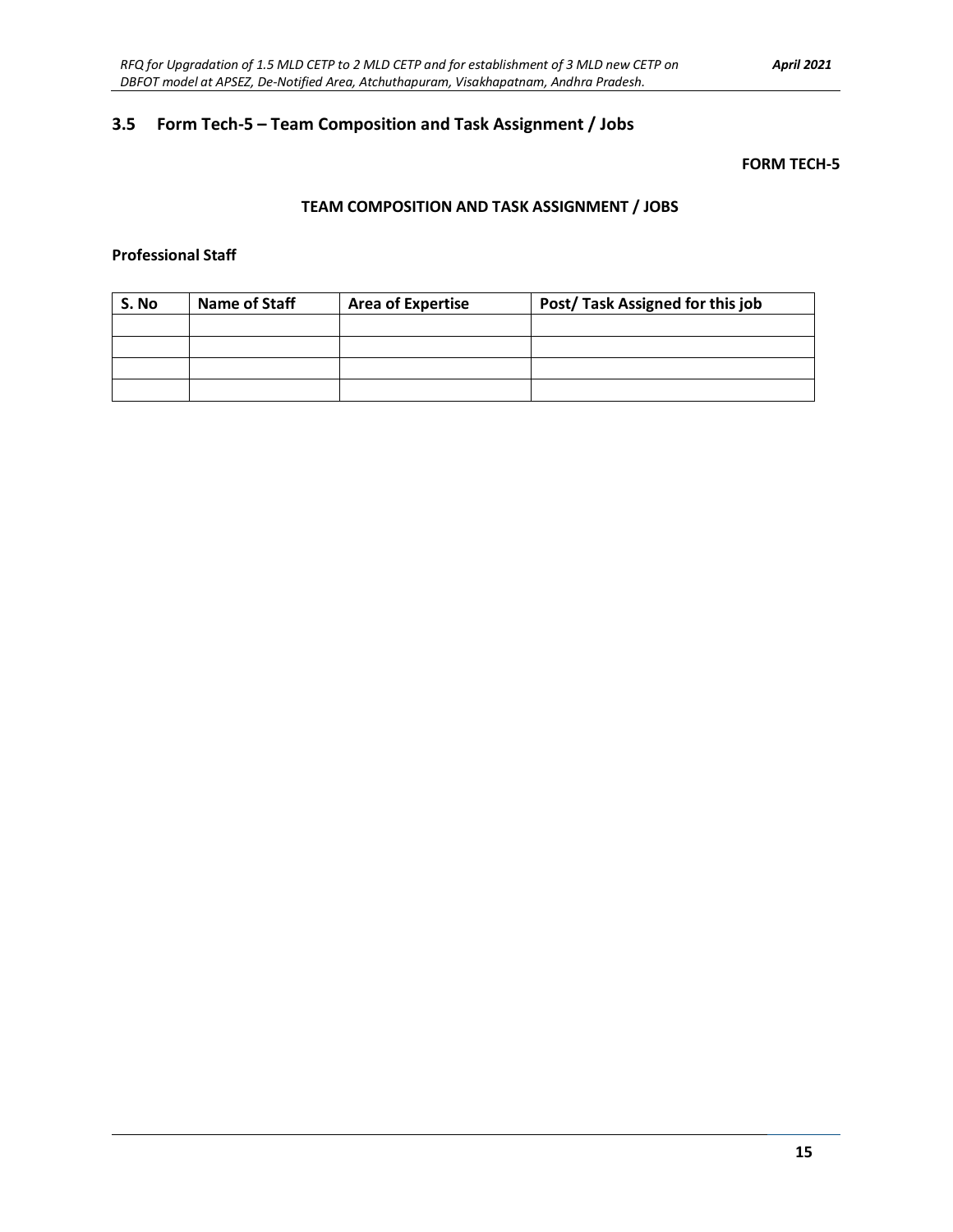### **3.5 Form Tech-5 – Team Composition and Task Assignment / Jobs**

#### **FORM TECH-5**

#### **TEAM COMPOSITION AND TASK ASSIGNMENT / JOBS**

#### **Professional Staff**

| S. No | <b>Name of Staff</b> | <b>Area of Expertise</b> | Post/Task Assigned for this job |
|-------|----------------------|--------------------------|---------------------------------|
|       |                      |                          |                                 |
|       |                      |                          |                                 |
|       |                      |                          |                                 |
|       |                      |                          |                                 |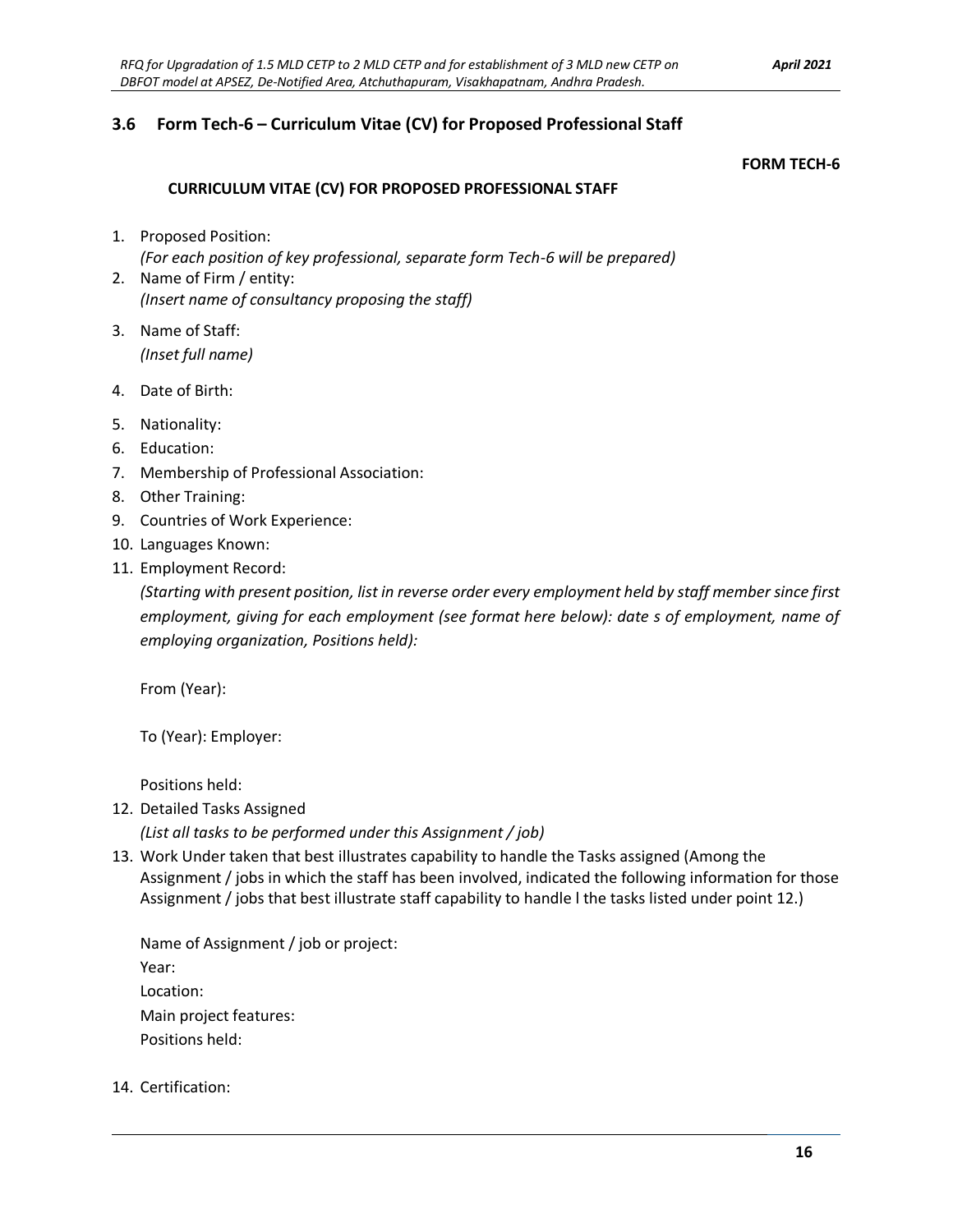### **3.6 Form Tech-6 – Curriculum Vitae (CV) for Proposed Professional Staff**

#### **FORM TECH-6**

#### **CURRICULUM VITAE (CV) FOR PROPOSED PROFESSIONAL STAFF**

- 1. Proposed Position: *(For each position of key professional, separate form Tech-6 will be prepared)*
- 2. Name of Firm / entity: *(Insert name of consultancy proposing the staff)*
- 3. Name of Staff: *(Inset full name)*
- 4. Date of Birth:
- 5. Nationality:
- 6. Education:
- 7. Membership of Professional Association:
- 8. Other Training:
- 9. Countries of Work Experience:
- 10. Languages Known:
- 11. Employment Record:

*(Starting with present position, list in reverse order every employment held by staff member since first employment, giving for each employment (see format here below): date s of employment, name of employing organization, Positions held):*

From (Year):

To (Year): Employer:

Positions held:

12. Detailed Tasks Assigned

*(List all tasks to be performed under this Assignment / job)*

13. Work Under taken that best illustrates capability to handle the Tasks assigned (Among the Assignment / jobs in which the staff has been involved, indicated the following information for those Assignment / jobs that best illustrate staff capability to handle l the tasks listed under point 12.)

Name of Assignment / job or project: Year: Location: Main project features: Positions held:

14. Certification: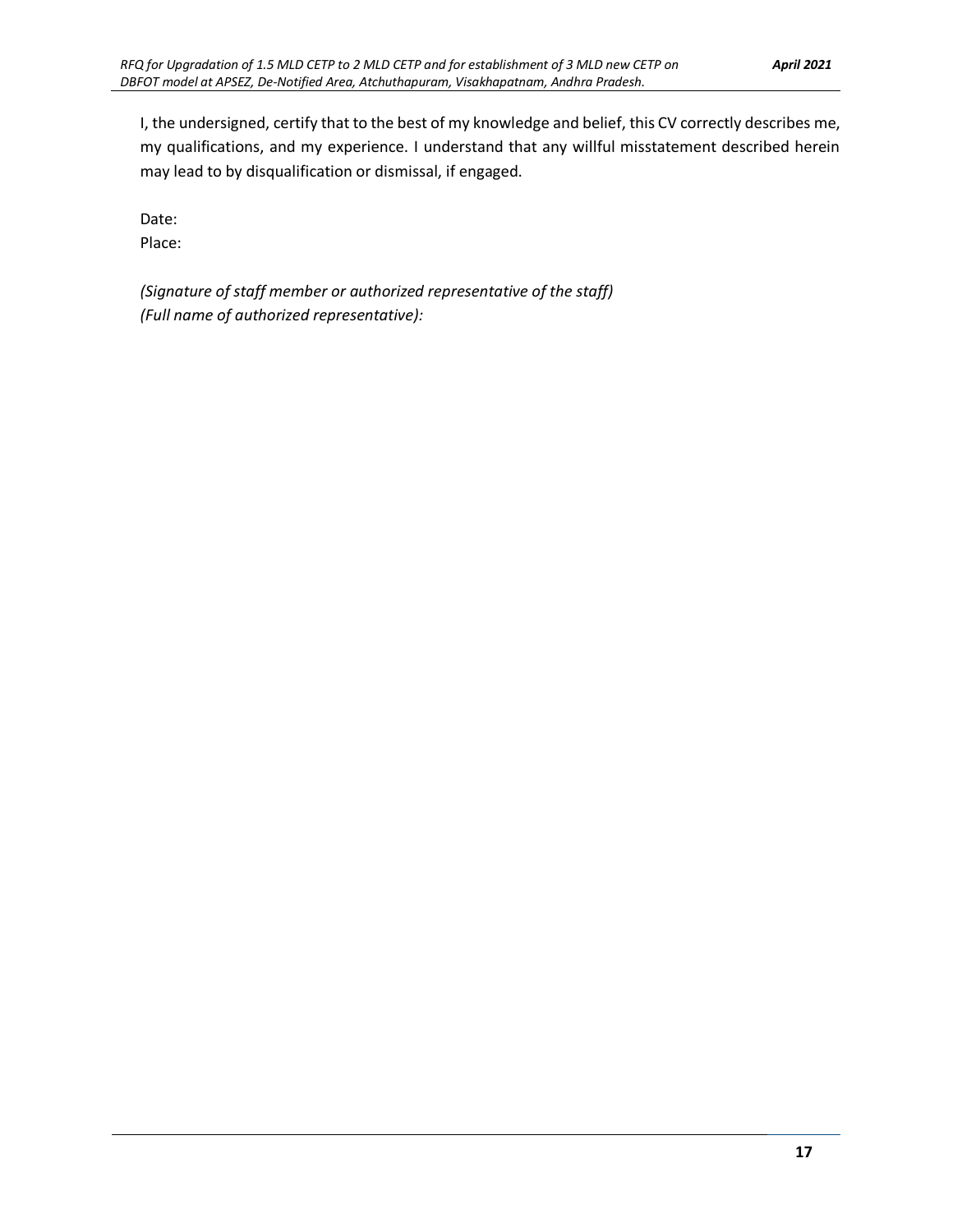I, the undersigned, certify that to the best of my knowledge and belief, this CV correctly describes me, my qualifications, and my experience. I understand that any willful misstatement described herein may lead to by disqualification or dismissal, if engaged.

Date:

Place:

*(Signature of staff member or authorized representative of the staff) (Full name of authorized representative):*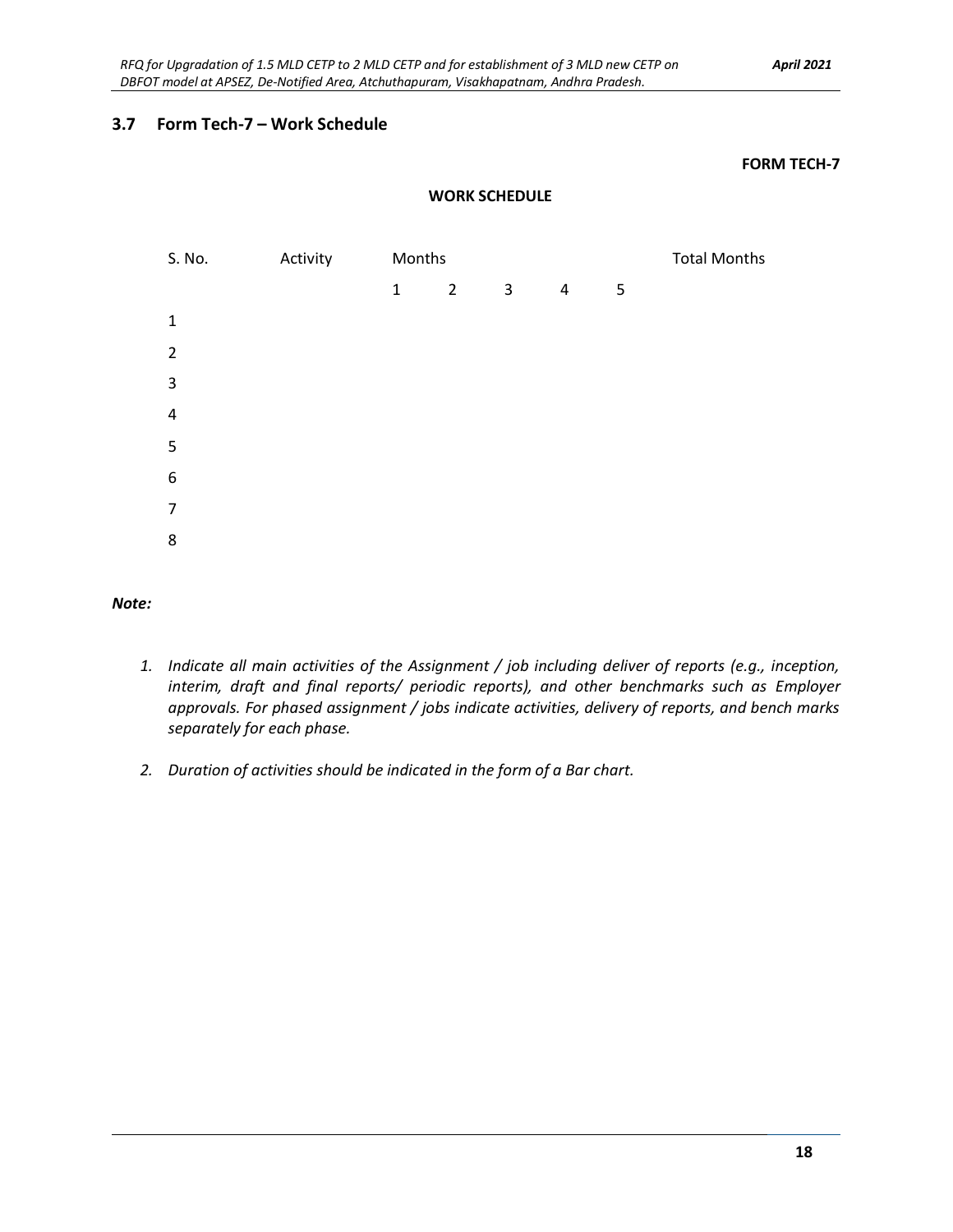#### **3.7 Form Tech-7 – Work Schedule**

#### **FORM TECH-7**

#### **WORK SCHEDULE**



#### *Note:*

- *1. Indicate all main activities of the Assignment / job including deliver of reports (e.g., inception, interim, draft and final reports/ periodic reports), and other benchmarks such as Employer approvals. For phased assignment / jobs indicate activities, delivery of reports, and bench marks separately for each phase.*
- *2. Duration of activities should be indicated in the form of a Bar chart.*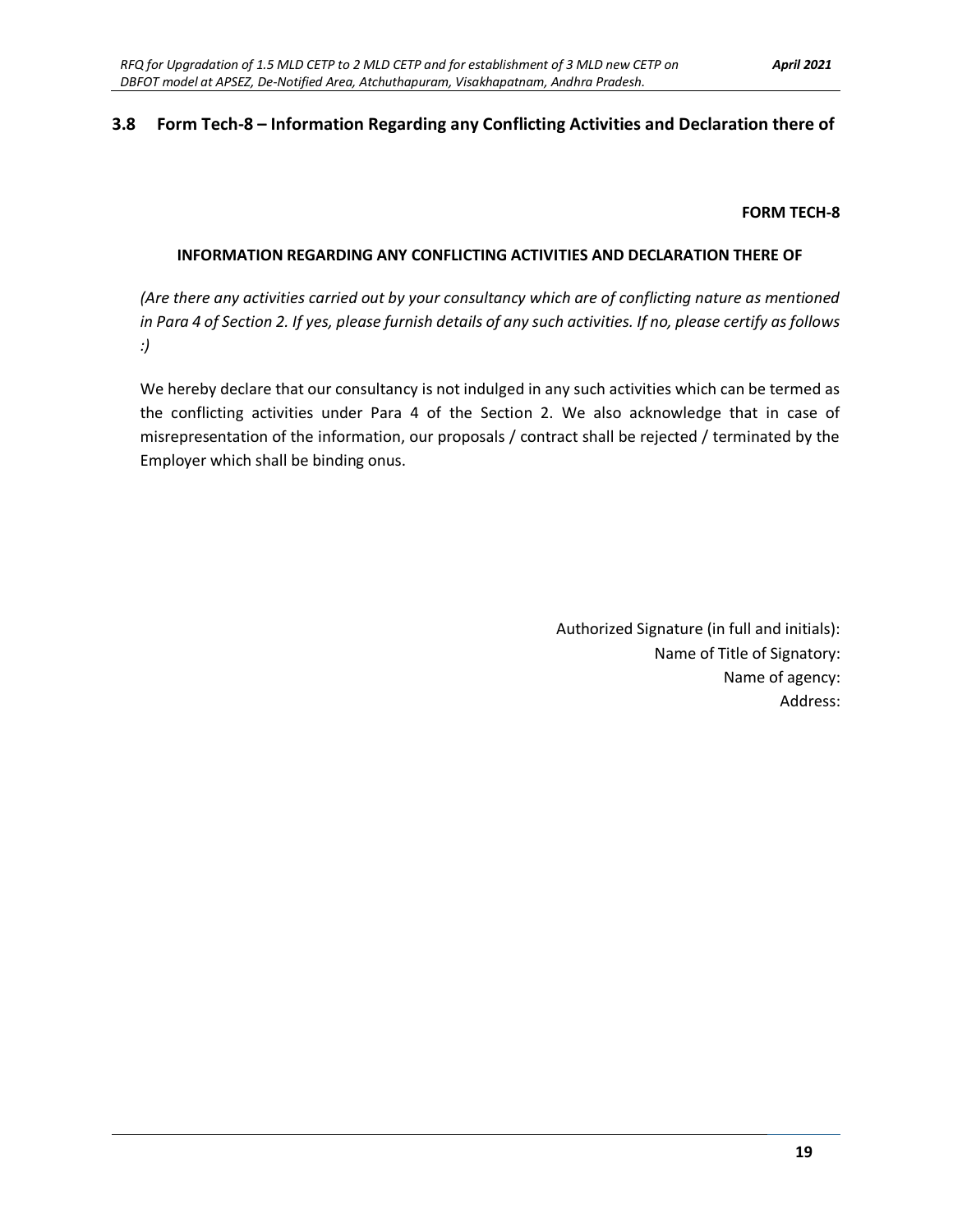#### **3.8 Form Tech-8 – Information Regarding any Conflicting Activities and Declaration there of**

#### **FORM TECH-8**

#### **INFORMATION REGARDING ANY CONFLICTING ACTIVITIES AND DECLARATION THERE OF**

*(Are there any activities carried out by your consultancy which are of conflicting nature as mentioned in Para 4 of Section 2. If yes, please furnish details of any such activities. If no, please certify as follows :)*

We hereby declare that our consultancy is not indulged in any such activities which can be termed as the conflicting activities under Para 4 of the Section 2. We also acknowledge that in case of misrepresentation of the information, our proposals / contract shall be rejected / terminated by the Employer which shall be binding onus.

> Authorized Signature (in full and initials): Name of Title of Signatory: Name of agency: Address: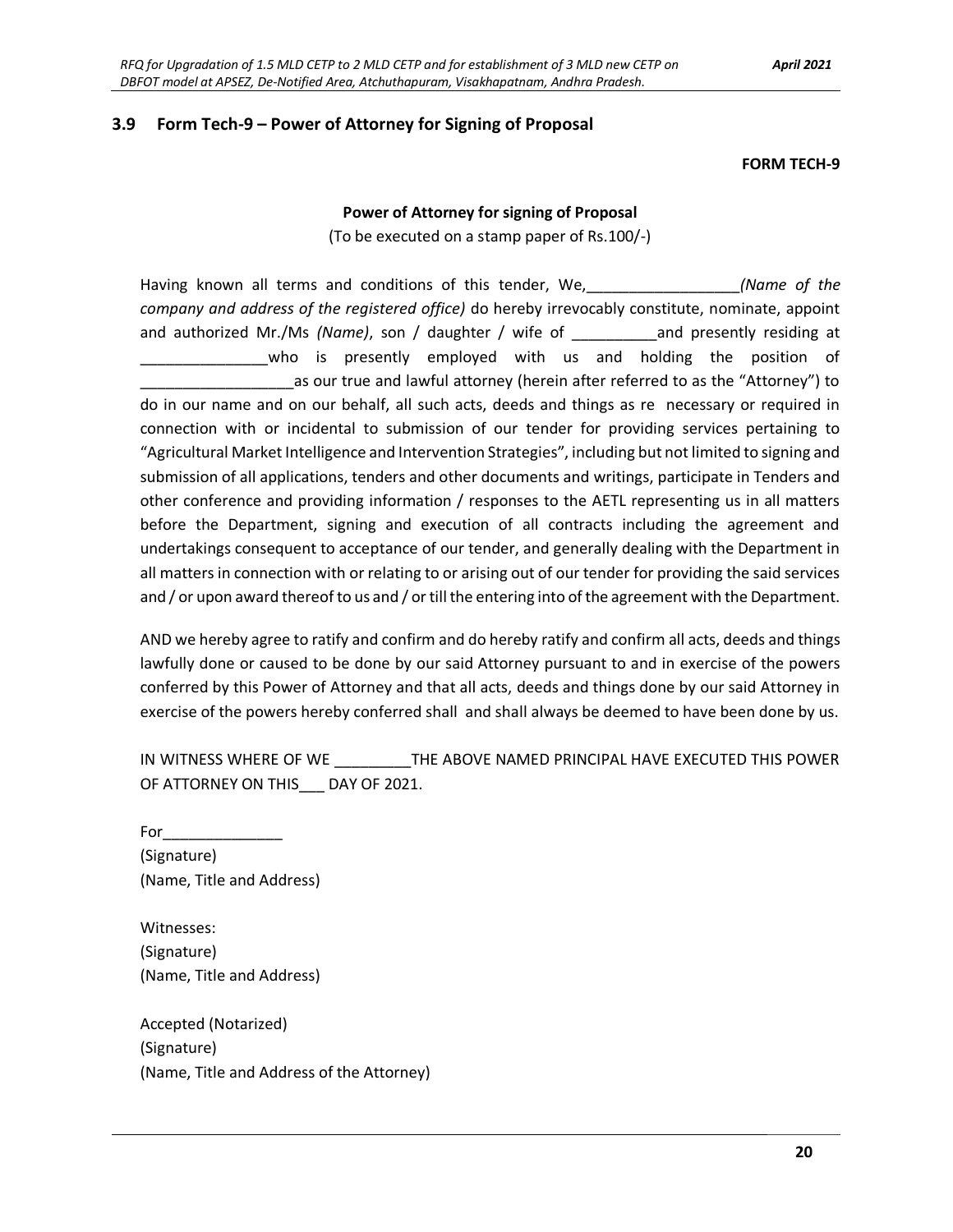#### **3.9 Form Tech-9 – Power of Attorney for Signing of Proposal**

#### **FORM TECH-9**

#### **Power of Attorney for signing of Proposal**

(To be executed on a stamp paper of Rs.100/-)

Having known all terms and conditions of this tender, We,\_\_\_\_\_\_\_\_\_\_\_\_\_\_\_\_\_\_*(Name of the company and address of the registered office)* do hereby irrevocably constitute, nominate, appoint and authorized Mr./Ms *(Name)*, son / daughter / wife of \_\_\_\_\_\_\_\_\_\_and presently residing at who is presently employed with us and holding the position of as our true and lawful attorney (herein after referred to as the "Attorney") to do in our name and on our behalf, all such acts, deeds and things as re necessary or required in connection with or incidental to submission of our tender for providing services pertaining to "Agricultural Market Intelligence and Intervention Strategies", including but not limited to signing and submission of all applications, tenders and other documents and writings, participate in Tenders and other conference and providing information / responses to the AETL representing us in all matters before the Department, signing and execution of all contracts including the agreement and undertakings consequent to acceptance of our tender, and generally dealing with the Department in all matters in connection with or relating to or arising out of our tender for providing the said services and / or upon award thereof to us and / or till the entering into of the agreement with the Department.

AND we hereby agree to ratify and confirm and do hereby ratify and confirm all acts, deeds and things lawfully done or caused to be done by our said Attorney pursuant to and in exercise of the powers conferred by this Power of Attorney and that all acts, deeds and things done by our said Attorney in exercise of the powers hereby conferred shall and shall always be deemed to have been done by us.

IN WITNESS WHERE OF WE \_\_\_\_\_\_\_\_\_THE ABOVE NAMED PRINCIPAL HAVE EXECUTED THIS POWER OF ATTORNEY ON THIS\_\_\_ DAY OF 2021.

For $\_\_\_\_\_\_\$ (Signature) (Name, Title and Address)

Witnesses: (Signature) (Name, Title and Address)

Accepted (Notarized) (Signature) (Name, Title and Address of the Attorney)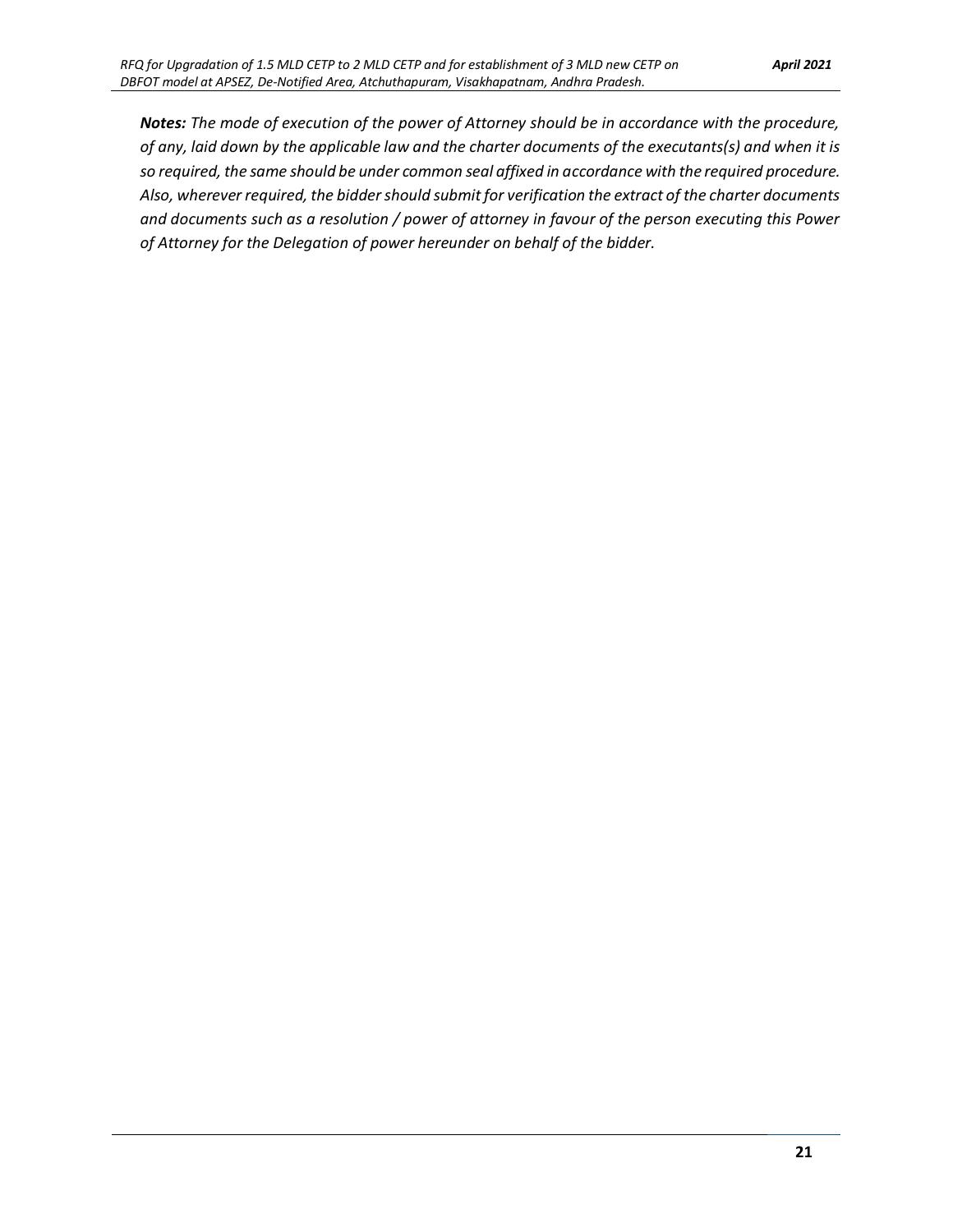*Notes: The mode of execution of the power of Attorney should be in accordance with the procedure, of any, laid down by the applicable law and the charter documents of the executants(s) and when it is so required, the same should be under common seal affixed in accordance with the required procedure. Also, wherever required, the bidder should submit for verification the extract of the charter documents and documents such as a resolution / power of attorney in favour of the person executing this Power of Attorney for the Delegation of power hereunder on behalf of the bidder.*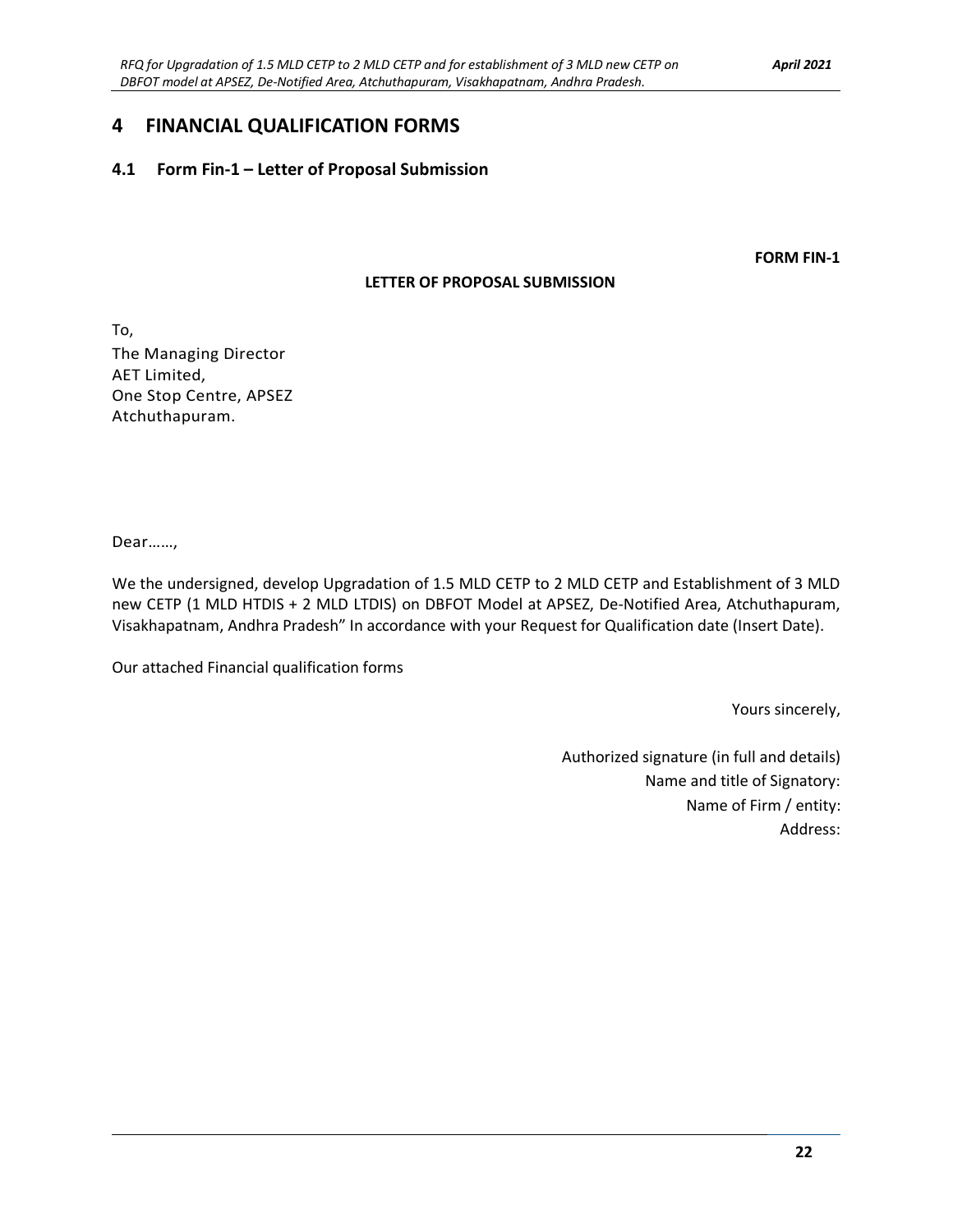### **4 FINANCIAL QUALIFICATION FORMS**

#### **4.1 Form Fin-1 – Letter of Proposal Submission**

**FORM FIN-1**

#### **LETTER OF PROPOSAL SUBMISSION**

To, The Managing Director AET Limited, One Stop Centre, APSEZ Atchuthapuram.

Dear……,

We the undersigned, develop Upgradation of 1.5 MLD CETP to 2 MLD CETP and Establishment of 3 MLD new CETP (1 MLD HTDIS + 2 MLD LTDIS) on DBFOT Model at APSEZ, De-Notified Area, Atchuthapuram, Visakhapatnam, Andhra Pradesh" In accordance with your Request for Qualification date (Insert Date).

Our attached Financial qualification forms

Yours sincerely,

Authorized signature (in full and details) Name and title of Signatory: Name of Firm / entity: Address: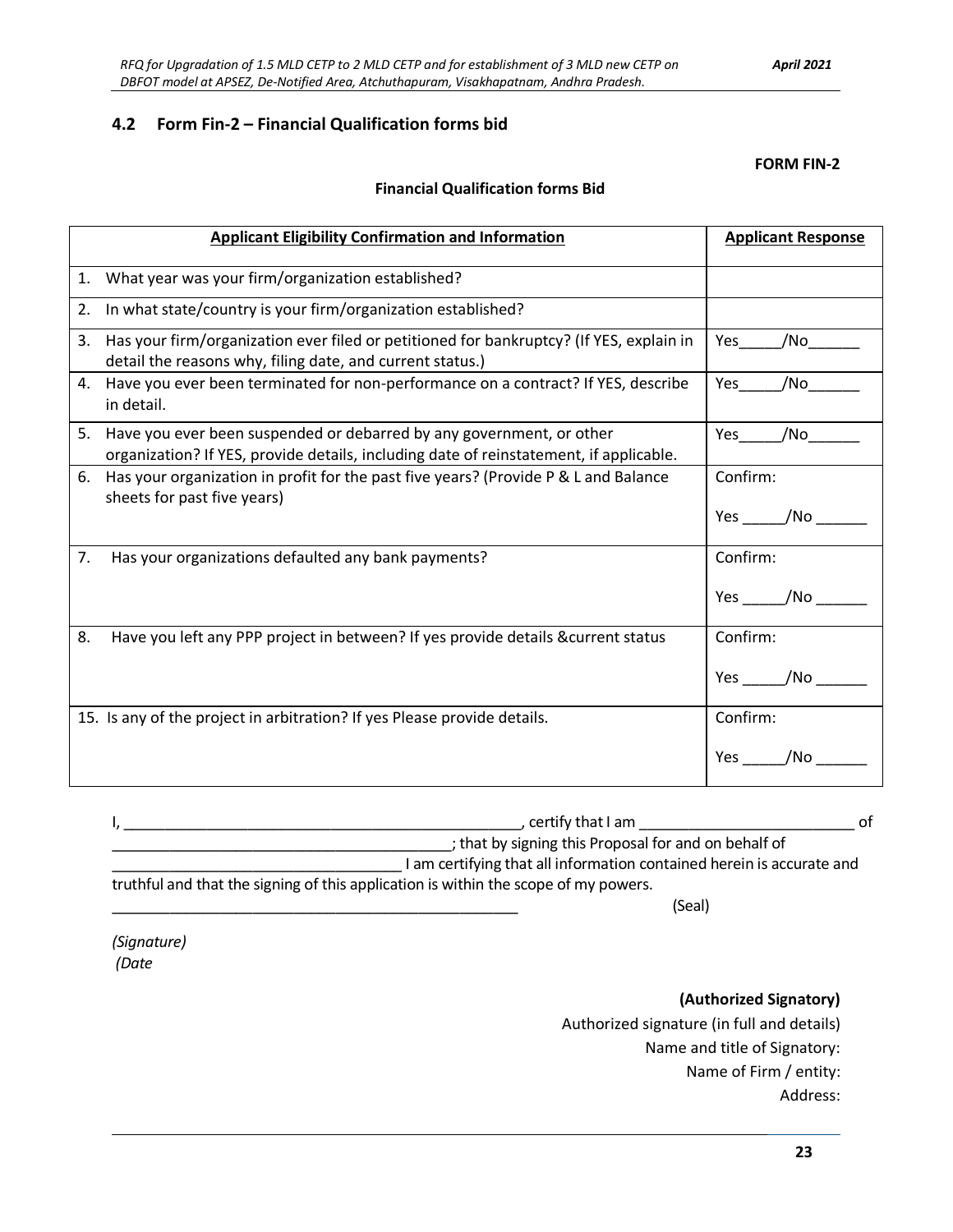Address:

### **4.2 Form Fin-2 – Financial Qualification forms bid**

#### **Financial Qualification forms Bid**

|    | <b>Applicant Eligibility Confirmation and Information</b>                                                                                                      | <b>Applicant Response</b> |
|----|----------------------------------------------------------------------------------------------------------------------------------------------------------------|---------------------------|
| 1. | What year was your firm/organization established?                                                                                                              |                           |
| 2. | In what state/country is your firm/organization established?                                                                                                   |                           |
| 3. | Has your firm/organization ever filed or petitioned for bankruptcy? (If YES, explain in<br>detail the reasons why, filing date, and current status.)           | Yes<br>/No                |
|    | 4. Have you ever been terminated for non-performance on a contract? If YES, describe<br>in detail.                                                             | /No<br>Yes                |
| 5. | Have you ever been suspended or debarred by any government, or other<br>organization? If YES, provide details, including date of reinstatement, if applicable. | Yes<br>/No                |
| 6. | Has your organization in profit for the past five years? (Provide P & L and Balance<br>sheets for past five years)                                             | Confirm:<br>Yes /No       |
| 7. | Has your organizations defaulted any bank payments?                                                                                                            | Confirm:<br>/No<br>Yes    |
| 8. | Have you left any PPP project in between? If yes provide details & current status                                                                              | Confirm:<br>/No<br>Yes    |
|    | 15. Is any of the project in arbitration? If yes Please provide details.                                                                                       | Confirm:<br>Yes<br>/No    |

| , certify that I am<br>ot                                                           |
|-------------------------------------------------------------------------------------|
| ; that by signing this Proposal for and on behalf of                                |
| I am certifying that all information contained herein is accurate and               |
| truthful and that the signing of this application is within the scope of my powers. |

\_\_\_\_\_\_\_\_\_\_\_\_\_\_\_\_\_\_\_\_\_\_\_\_\_\_\_\_\_\_\_\_\_\_\_\_\_\_\_\_\_\_\_\_\_\_\_\_\_ (Seal)

Authorized signature (in full and details)

*(Signature) (Date* 

**(Authorized Signatory)** 

Name and title of Signatory: Name of Firm / entity: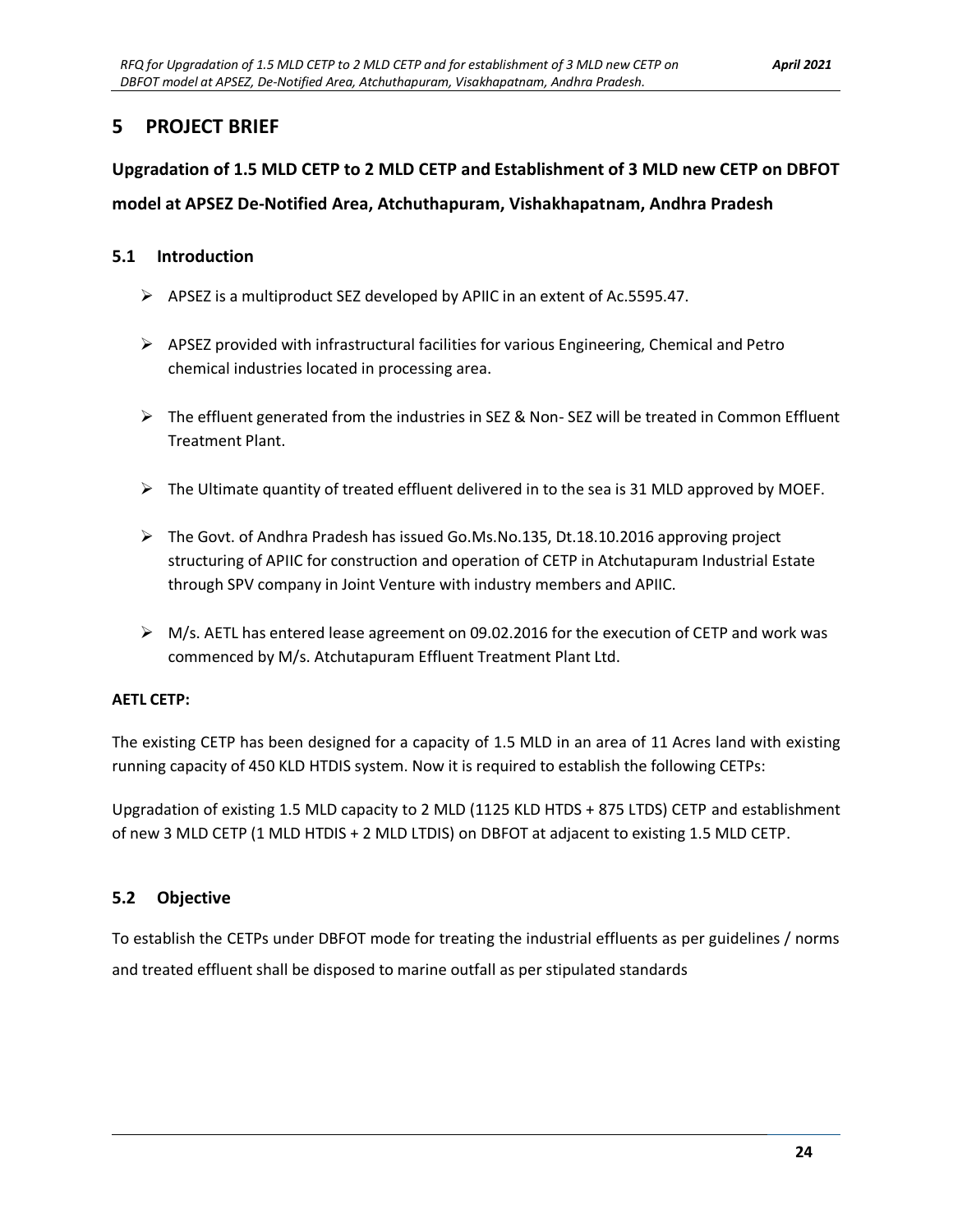### **5 PROJECT BRIEF**

# **Upgradation of 1.5 MLD CETP to 2 MLD CETP and Establishment of 3 MLD new CETP on DBFOT model at APSEZ De-Notified Area, Atchuthapuram, Vishakhapatnam, Andhra Pradesh**

### **5.1 Introduction**

- ➢ APSEZ is a multiproduct SEZ developed by APIIC in an extent of Ac.5595.47.
- $\triangleright$  APSEZ provided with infrastructural facilities for various Engineering, Chemical and Petro chemical industries located in processing area.
- ➢ The effluent generated from the industries in SEZ & Non- SEZ will be treated in Common Effluent Treatment Plant.
- $\triangleright$  The Ultimate quantity of treated effluent delivered in to the sea is 31 MLD approved by MOEF.
- ➢ The Govt. of Andhra Pradesh has issued Go.Ms.No.135, Dt.18.10.2016 approving project structuring of APIIC for construction and operation of CETP in Atchutapuram Industrial Estate through SPV company in Joint Venture with industry members and APIIC.
- $\triangleright$  M/s. AETL has entered lease agreement on 09.02.2016 for the execution of CETP and work was commenced by M/s. Atchutapuram Effluent Treatment Plant Ltd.

#### **AETL CETP:**

The existing CETP has been designed for a capacity of 1.5 MLD in an area of 11 Acres land with existing running capacity of 450 KLD HTDIS system. Now it is required to establish the following CETPs:

Upgradation of existing 1.5 MLD capacity to 2 MLD (1125 KLD HTDS + 875 LTDS) CETP and establishment of new 3 MLD CETP (1 MLD HTDIS + 2 MLD LTDIS) on DBFOT at adjacent to existing 1.5 MLD CETP.

### **5.2 Objective**

To establish the CETPs under DBFOT mode for treating the industrial effluents as per guidelines / norms and treated effluent shall be disposed to marine outfall as per stipulated standards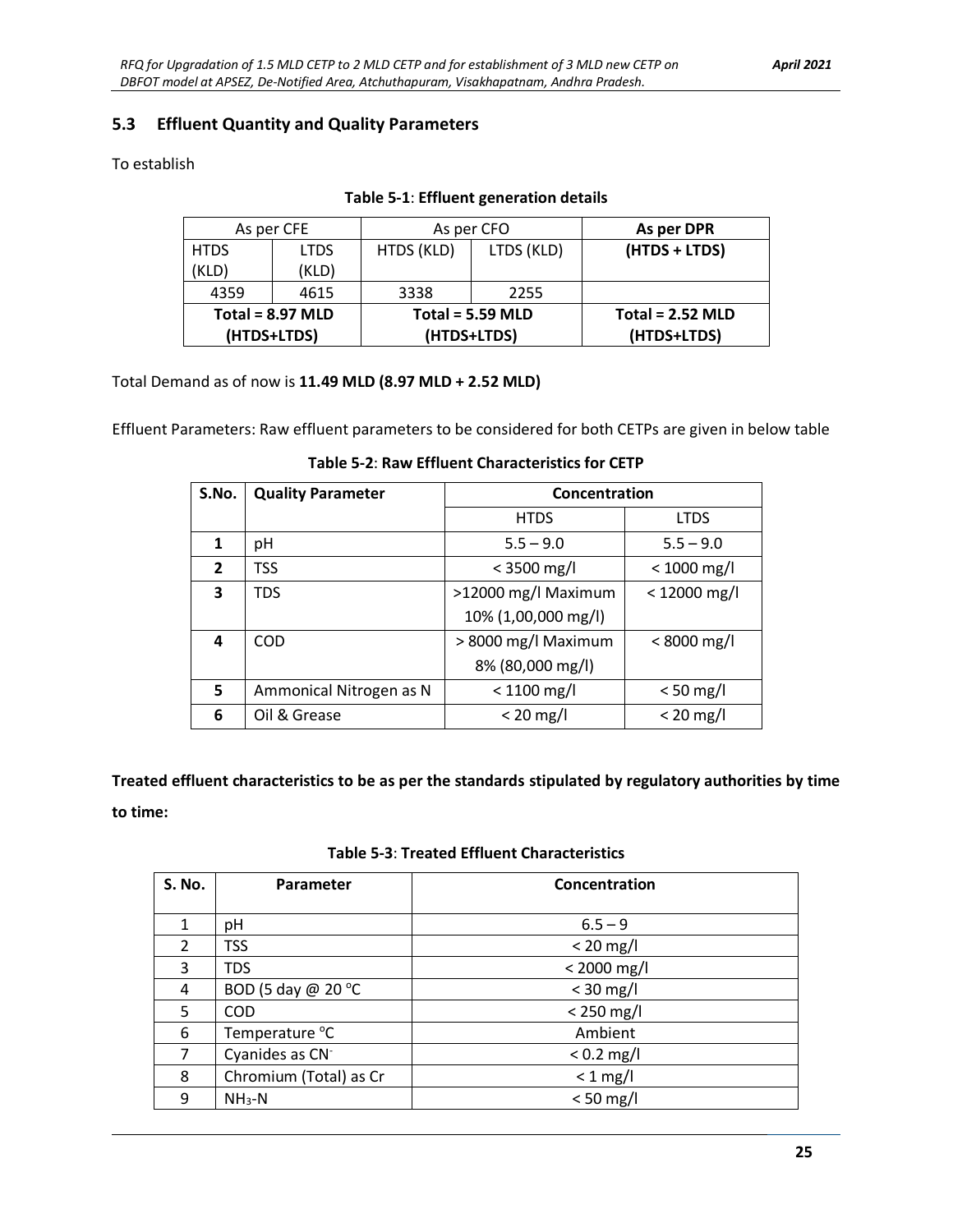#### **5.3 Effluent Quantity and Quality Parameters**

#### To establish

| As per CFE         |             | As per CFO         |            | As per DPR         |  |
|--------------------|-------------|--------------------|------------|--------------------|--|
| <b>HTDS</b>        | <b>LTDS</b> | HTDS (KLD)         | LTDS (KLD) | (HTDS + LTDS)      |  |
| (KLD)              | (KLD)       |                    |            |                    |  |
| 4359<br>4615       |             | 3338               | 2255       |                    |  |
| Total = $8.97$ MLD |             | Total = $5.59$ MLD |            | Total = $2.52$ MLD |  |
| (HTDS+LTDS)        |             | (HTDS+LTDS)        |            | (HTDS+LTDS)        |  |

#### **Table 5-1**: **Effluent generation details**

Total Demand as of now is **11.49 MLD (8.97 MLD + 2.52 MLD)**

Effluent Parameters: Raw effluent parameters to be considered for both CETPs are given in below table

| Table 5-2: Raw Effluent Characteristics for CETP |
|--------------------------------------------------|
|--------------------------------------------------|

| S.No.        | <b>Quality Parameter</b> | Concentration       |                |
|--------------|--------------------------|---------------------|----------------|
|              |                          | <b>HTDS</b>         | <b>LTDS</b>    |
| 1            | рH                       | $5.5 - 9.0$         | $5.5 - 9.0$    |
| $\mathbf{2}$ | <b>TSS</b>               | $<$ 3500 mg/l       | $< 1000$ mg/l  |
| 3            | <b>TDS</b>               | >12000 mg/l Maximum | $< 12000$ mg/l |
|              |                          | 10% (1,00,000 mg/l) |                |
| 4            | COD                      | > 8000 mg/l Maximum | $< 8000$ mg/l  |
|              |                          | 8% (80,000 mg/l)    |                |
| 5            | Ammonical Nitrogen as N  | $< 1100$ mg/l       | $< 50$ mg/l    |
| 6            | Oil & Grease             | $< 20$ mg/l         | $< 20$ mg/l    |

**Treated effluent characteristics to be as per the standards stipulated by regulatory authorities by time to time:**

#### **Table 5-3**: **Treated Effluent Characteristics**

| <b>S. No.</b> | Parameter                   | Concentration |
|---------------|-----------------------------|---------------|
|               |                             |               |
| 1             | pH                          | $6.5 - 9$     |
| 2             | <b>TSS</b>                  | $< 20$ mg/l   |
| 3             | <b>TDS</b>                  | $< 2000$ mg/l |
| 4             | BOD (5 day @ 20 °C          | $<$ 30 mg/l   |
| 5             | <b>COD</b>                  | $< 250$ mg/l  |
| 6             | Temperature °C              | Ambient       |
| 7             | Cyanides as CN <sup>-</sup> | $< 0.2$ mg/l  |
| 8             | Chromium (Total) as Cr      | $< 1$ mg/l    |
| 9             | $NH3-N$                     | $< 50$ mg/l   |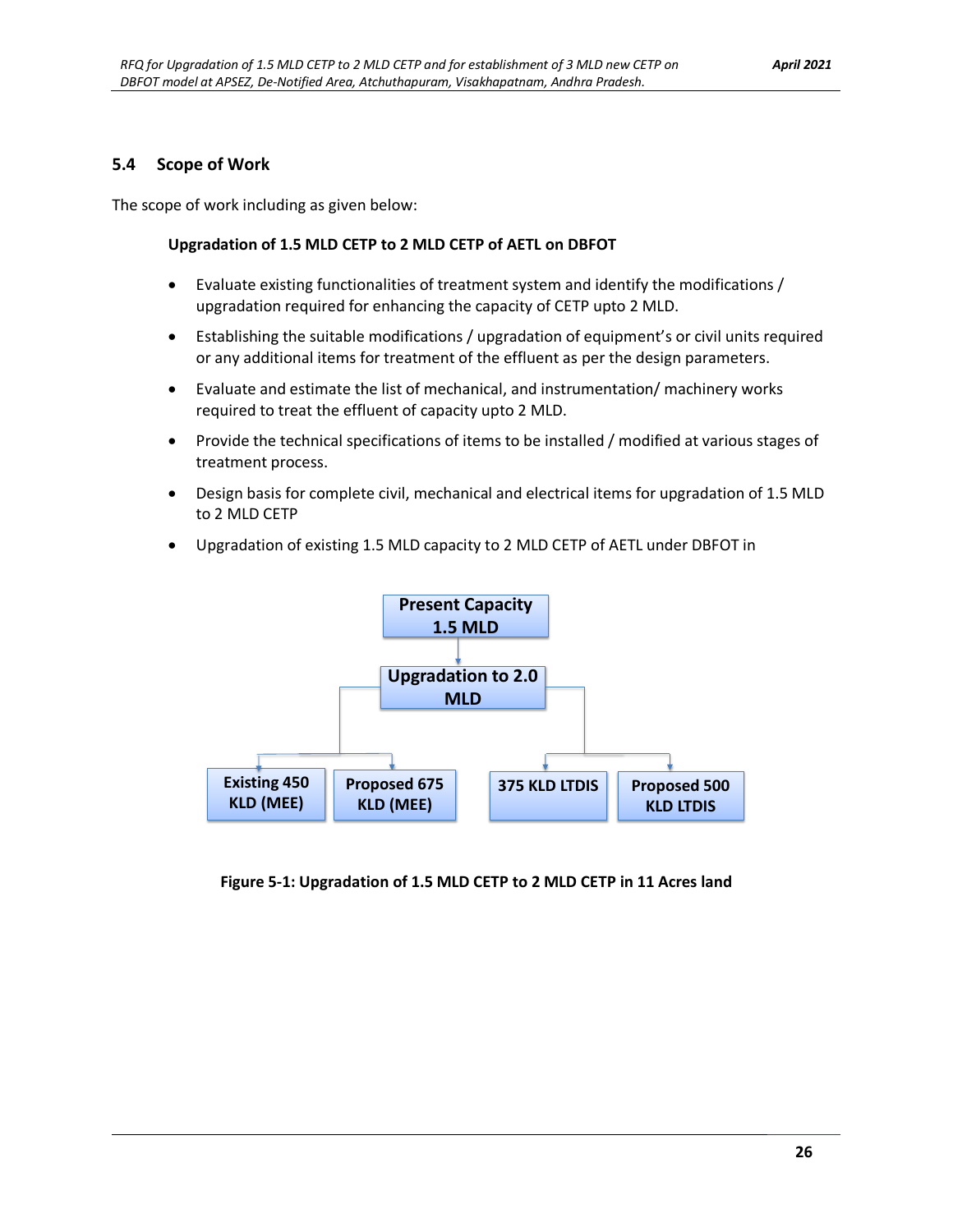#### **5.4 Scope of Work**

The scope of work including as given below:

#### **Upgradation of 1.5 MLD CETP to 2 MLD CETP of AETL on DBFOT**

- Evaluate existing functionalities of treatment system and identify the modifications / upgradation required for enhancing the capacity of CETP upto 2 MLD.
- Establishing the suitable modifications / upgradation of equipment's or civil units required or any additional items for treatment of the effluent as per the design parameters.
- Evaluate and estimate the list of mechanical, and instrumentation/ machinery works required to treat the effluent of capacity upto 2 MLD.
- Provide the technical specifications of items to be installed / modified at various stages of treatment process.
- Design basis for complete civil, mechanical and electrical items for upgradation of 1.5 MLD to 2 MLD CETP
- Upgradation of existing 1.5 MLD capacity to 2 MLD CETP of AETL under DBFOT in



<span id="page-32-0"></span>**Figure 5-1: Upgradation of 1.5 MLD CETP to 2 MLD CETP in 11 Acres land**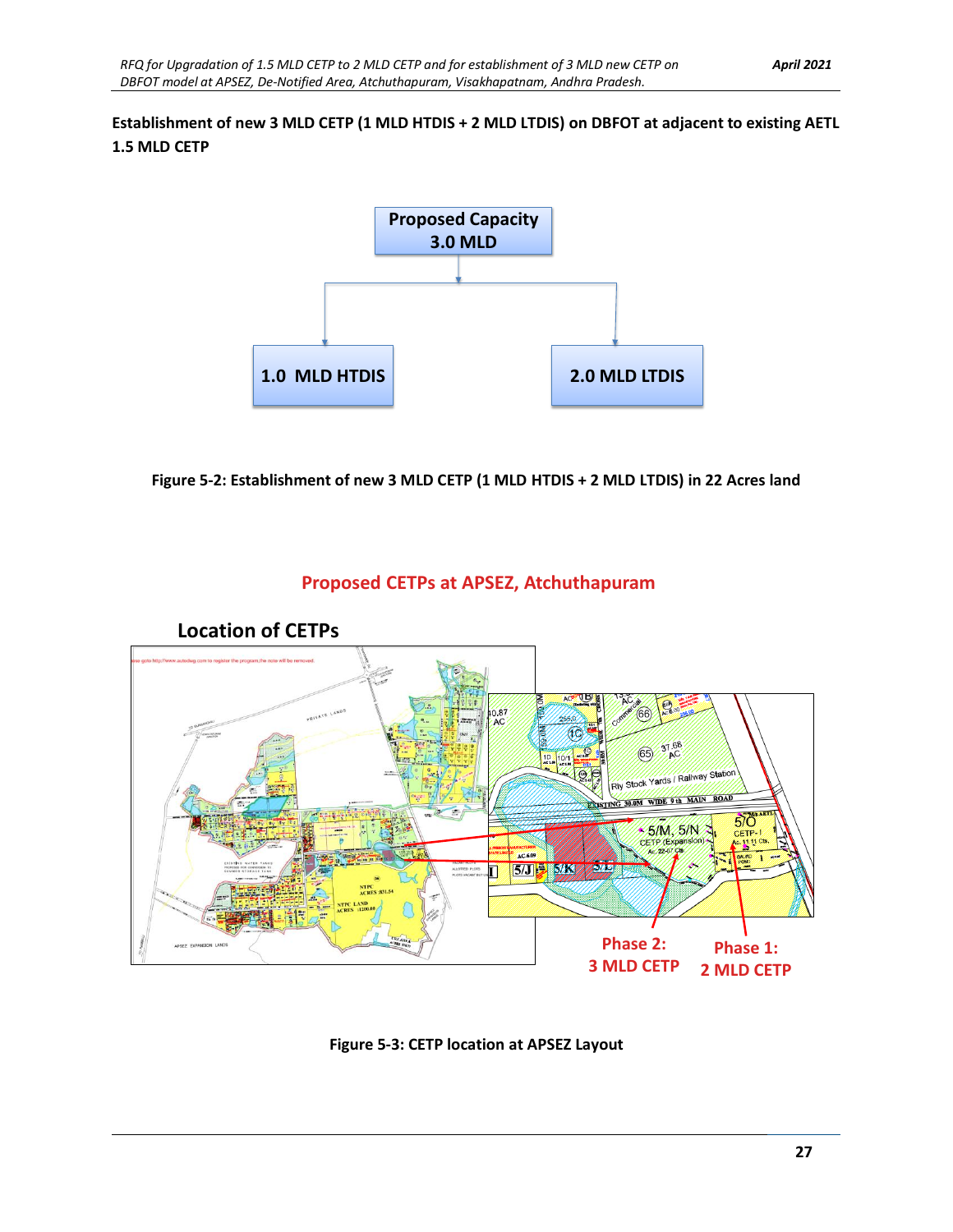#### **Establishment of new 3 MLD CETP (1 MLD HTDIS + 2 MLD LTDIS) on DBFOT at adjacent to existing AETL 1.5 MLD CETP**



<span id="page-33-0"></span>**Figure 5-2: Establishment of new 3 MLD CETP (1 MLD HTDIS + 2 MLD LTDIS) in 22 Acres land**

### **Proposed CETPs at APSEZ, Atchuthapuram**



<span id="page-33-1"></span>**Figure 5-3: CETP location at APSEZ Layout**